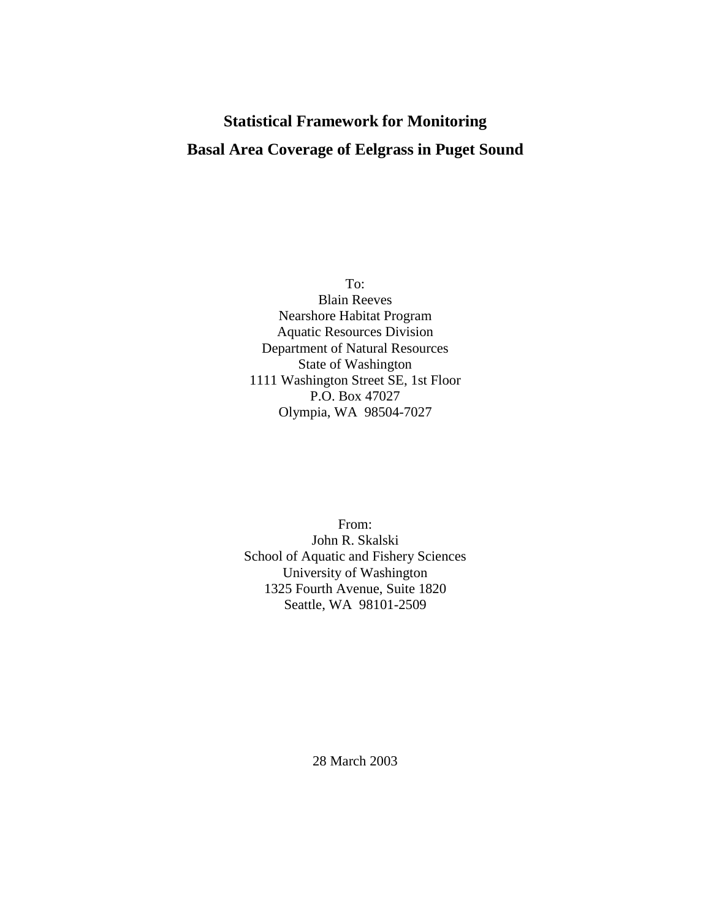# **Statistical Framework for Monitoring Basal Area Coverage of Eelgrass in Puget Sound**

To: Blain Reeves Nearshore Habitat Program Aquatic Resources Division Department of Natural Resources State of Washington 1111 Washington Street SE, 1st Floor P.O. Box 47027 Olympia, WA 98504-7027

From: John R. Skalski School of Aquatic and Fishery Sciences University of Washington 1325 Fourth Avenue, Suite 1820 Seattle, WA 98101-2509

28 March 2003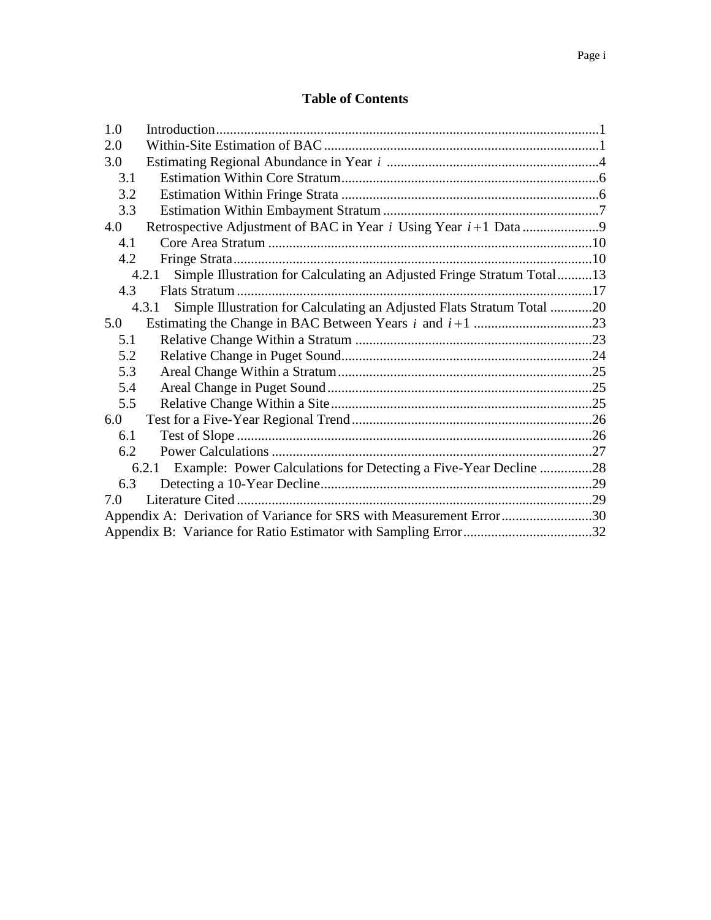## **Table of Contents**

| 1.0                                                                             |                                                                                 |  |  |  |  |
|---------------------------------------------------------------------------------|---------------------------------------------------------------------------------|--|--|--|--|
| 2.0                                                                             |                                                                                 |  |  |  |  |
| 3.0                                                                             |                                                                                 |  |  |  |  |
| 3.1                                                                             |                                                                                 |  |  |  |  |
| 3.2                                                                             |                                                                                 |  |  |  |  |
| 3.3                                                                             |                                                                                 |  |  |  |  |
| 4.0                                                                             |                                                                                 |  |  |  |  |
| 4.1                                                                             |                                                                                 |  |  |  |  |
| 4.2                                                                             |                                                                                 |  |  |  |  |
|                                                                                 | Simple Illustration for Calculating an Adjusted Fringe Stratum Total13<br>4.2.1 |  |  |  |  |
| 4.3                                                                             |                                                                                 |  |  |  |  |
| Simple Illustration for Calculating an Adjusted Flats Stratum Total 20<br>4.3.1 |                                                                                 |  |  |  |  |
| 5.0                                                                             |                                                                                 |  |  |  |  |
| 5.1                                                                             |                                                                                 |  |  |  |  |
| 5.2                                                                             |                                                                                 |  |  |  |  |
| 5.3                                                                             |                                                                                 |  |  |  |  |
| 5.4                                                                             |                                                                                 |  |  |  |  |
| 5.5                                                                             |                                                                                 |  |  |  |  |
| 6.0                                                                             |                                                                                 |  |  |  |  |
| 6.1                                                                             |                                                                                 |  |  |  |  |
| 6.2                                                                             |                                                                                 |  |  |  |  |
| Example: Power Calculations for Detecting a Five-Year Decline 28<br>6.2.1       |                                                                                 |  |  |  |  |
| 6.3                                                                             |                                                                                 |  |  |  |  |
| 7.0                                                                             |                                                                                 |  |  |  |  |
| Appendix A: Derivation of Variance for SRS with Measurement Error30             |                                                                                 |  |  |  |  |
|                                                                                 |                                                                                 |  |  |  |  |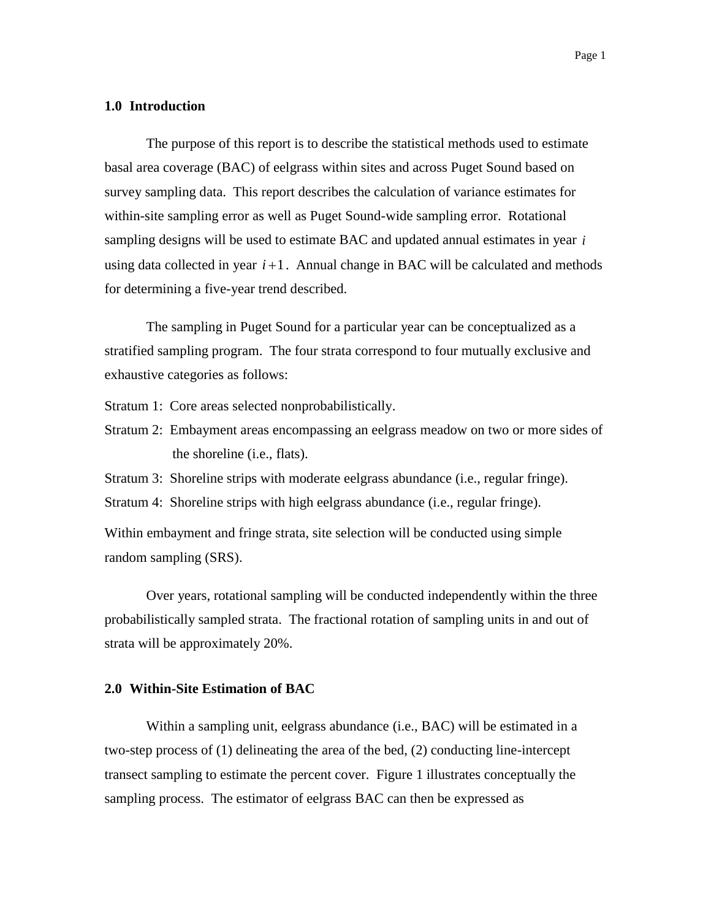#### <span id="page-2-0"></span>**1.0 Introduction**

The purpose of this report is to describe the statistical methods used to estimate basal area coverage (BAC) of eelgrass within sites and across Puget Sound based on survey sampling data. This report describes the calculation of variance estimates for within-site sampling error as well as Puget Sound-wide sampling error. Rotational sampling designs will be used to estimate BAC and updated annual estimates in year *i* using data collected in year  $i+1$ . Annual change in BAC will be calculated and methods for determining a five-year trend described.

The sampling in Puget Sound for a particular year can be conceptualized as a stratified sampling program. The four strata correspond to four mutually exclusive and exhaustive categories as follows:

Stratum 1: Core areas selected nonprobabilistically.

- Stratum 2: Embayment areas encompassing an eelgrass meadow on two or more sides of the shoreline (i.e., flats).
- Stratum 3: Shoreline strips with moderate eelgrass abundance (i.e., regular fringe).

Stratum 4: Shoreline strips with high eelgrass abundance (i.e., regular fringe).

Within embayment and fringe strata, site selection will be conducted using simple random sampling (SRS).

Over years, rotational sampling will be conducted independently within the three probabilistically sampled strata. The fractional rotation of sampling units in and out of strata will be approximately 20%.

#### <span id="page-2-1"></span>**2.0 Within-Site Estimation of BAC**

Within a sampling unit, eelgrass abundance (i.e., BAC) will be estimated in a two-step process of (1) delineating the area of the bed, (2) conducting line-intercept transect sampling to estimate the percent cover. Figure 1 illustrates conceptually the sampling process. The estimator of eelgrass BAC can then be expressed as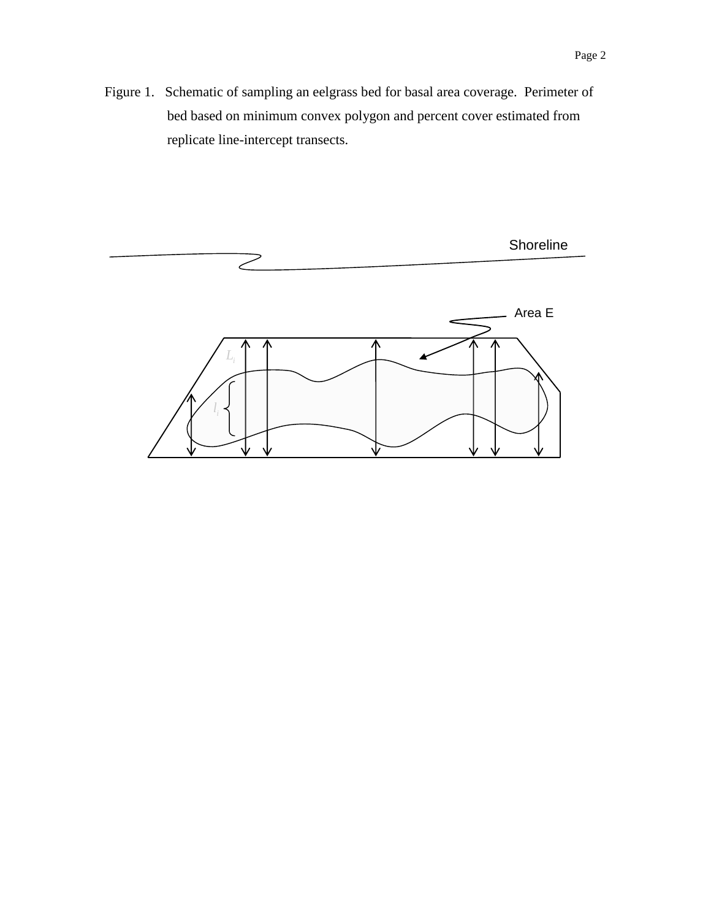Figure 1. Schematic of sampling an eelgrass bed for basal area coverage. Perimeter of bed based on minimum convex polygon and percent cover estimated from replicate line-intercept transects.

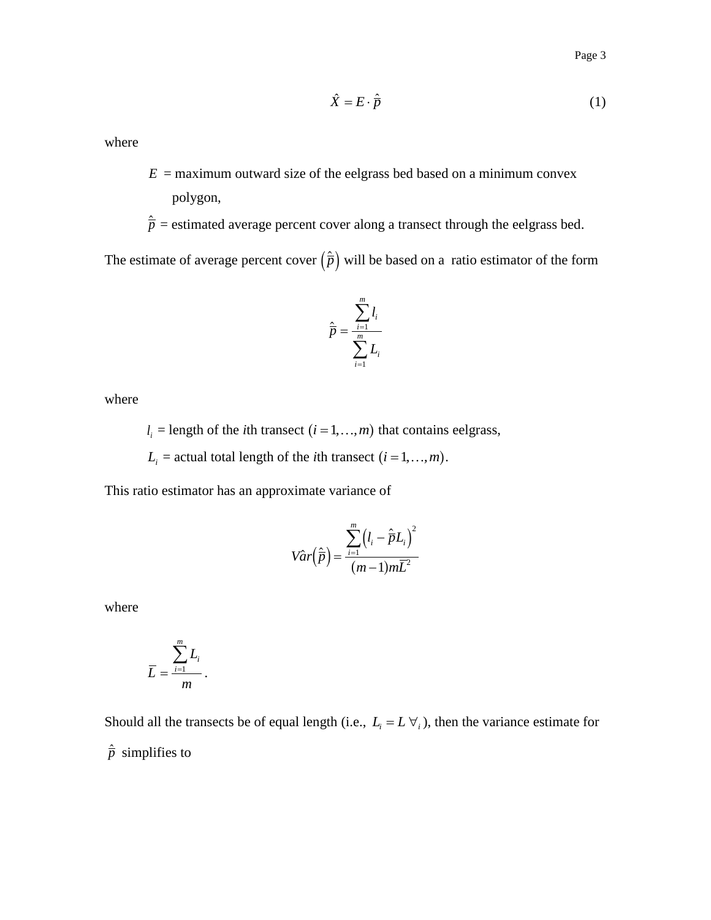$$
\hat{X} = E \cdot \hat{\vec{p}} \tag{1}
$$

where

- $E =$  maximum outward size of the eelgrass bed based on a minimum convex polygon,
- $\hat{\overline{p}}$  = estimated average percent cover along a transect through the eelgrass bed.

The estimate of average percent cover  $(\hat{\overline{p}})$  will be based on a ratio estimator of the form

$$
\hat{\overline{p}} = \frac{\sum_{i=1}^{m} l_i}{\sum_{i=1}^{m} L_i}
$$

where

 $l_i$  = length of the *i*th transect  $(i = 1, ..., m)$  that contains eelgrass,

 $L_i$  = actual total length of the *i*th transect  $(i = 1, ..., m)$ .

This ratio estimator has an approximate variance of

$$
Var\left(\hat{\overline{p}}\right) = \frac{\sum_{i=1}^{m} \left(l_i - \hat{\overline{p}}L_i\right)^2}{(m-1)m\overline{L}^2}
$$

where

$$
\overline{L} = \frac{\sum_{i=1}^{m} L_i}{m}.
$$

Should all the transects be of equal length (i.e.,  $L_i = L \forall i$ ), then the variance estimate for  $\hat{\overline{p}}$  simplifies to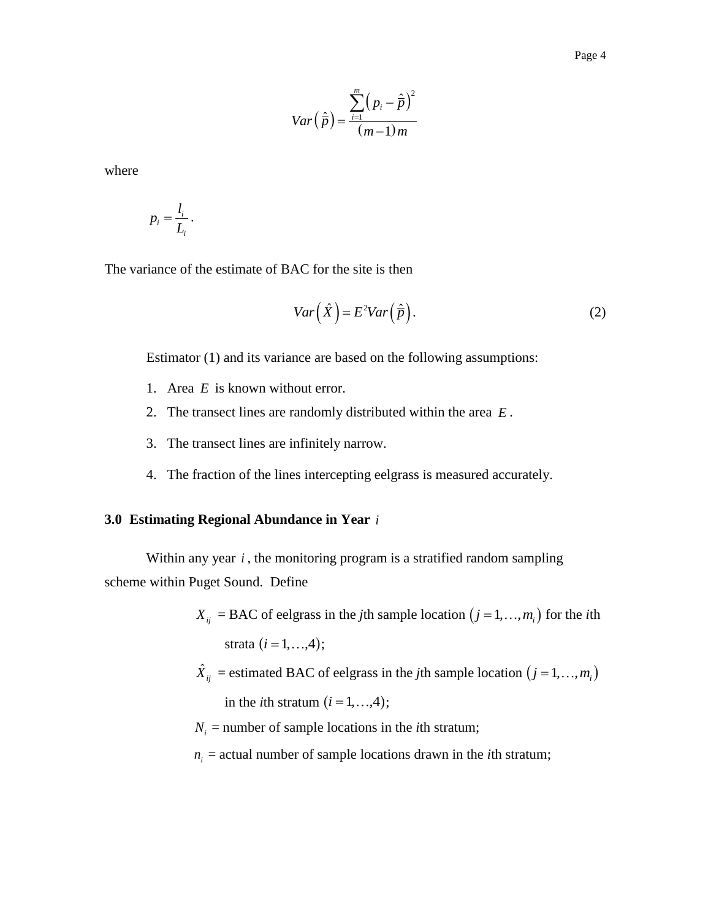$$
Var\left(\hat{\overline{p}}\right) = \frac{\sum_{i=1}^{m} \left(p_i - \hat{\overline{p}}\right)^2}{\left(m - 1\right)m}
$$

where

$$
p_i = \frac{l_i}{L_i}.
$$

The variance of the estimate of BAC for the site is then

$$
Var\left(\hat{X}\right) = E^2 Var\left(\hat{\overline{p}}\right). \tag{2}
$$

Estimator (1) and its variance are based on the following assumptions:

- 1. Area *E* is known without error.
- 2. The transect lines are randomly distributed within the area *E* .
- 3. The transect lines are infinitely narrow.
- 4. The fraction of the lines intercepting eelgrass is measured accurately.

#### <span id="page-5-0"></span>**3.0 Estimating Regional Abundance in Year**  *i*

Within any year *i*, the monitoring program is a stratified random sampling scheme within Puget Sound. Define

- $X_{ij}$  = BAC of eelgrass in the *j*th sample location  $(j = 1, ..., m_i)$  for the *i*th strata  $(i = 1, ..., 4)$ ;
- $\hat{X}_{ij}$  = estimated BAC of eelgrass in the *j*th sample location  $(j = 1, ..., m_i)$ in the *i*th stratum  $(i = 1, ..., 4)$ ;
- $N_i$  = number of sample locations in the *i*th stratum;
- $n_i$  = actual number of sample locations drawn in the *i*th stratum;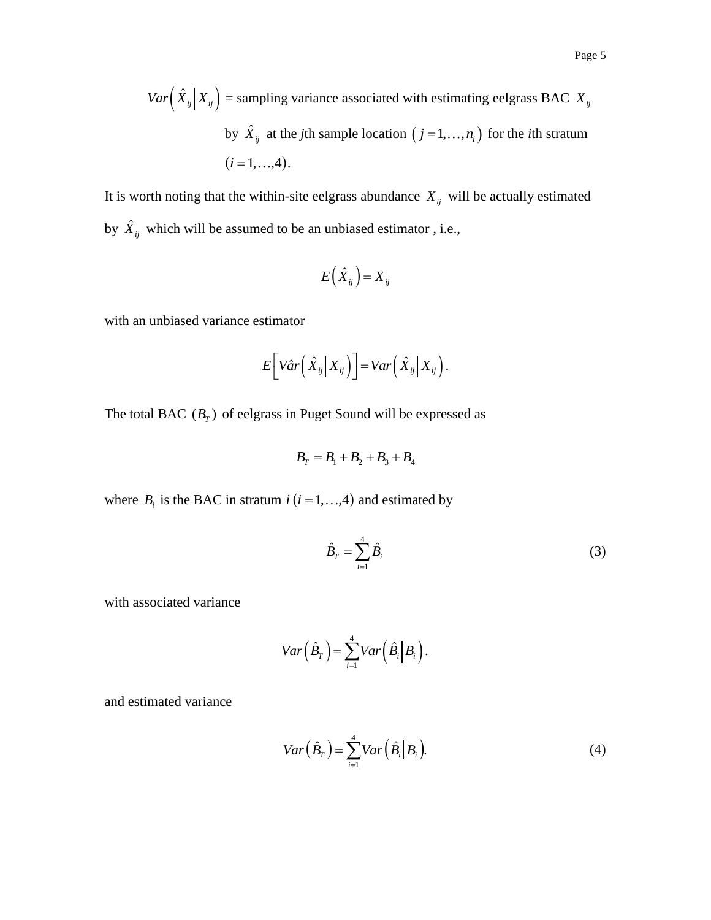It is worth noting that the within-site eelgrass abundance  $X_{ij}$  will be actually estimated by  $\hat{X}_{ij}$  which will be assumed to be an unbiased estimator , i.e.,

$$
E(\hat{X}_{ij})=X_{ij}
$$

with an unbiased variance estimator

$$
E\bigg[V\hat{a}r\big(\hat{X}_{ij}\big|X_{ij}\big)\bigg]=Var\big(\hat{X}_{ij}\big|X_{ij}\big).
$$

The total BAC  $(B_T)$  of eelgrass in Puget Sound will be expressed as

$$
B_T = B_1 + B_2 + B_3 + B_4
$$

where  $B_i$  is the BAC in stratum  $i$  ( $i = 1, ..., 4$ ) and estimated by

$$
\hat{B}_T = \sum_{i=1}^4 \hat{B}_i \tag{3}
$$

with associated variance

$$
Var\left(\hat{B}_T\right) = \sum_{i=1}^4 Var\left(\hat{B}_i \middle| B_i\right).
$$

and estimated variance

$$
Var\left(\hat{B}_T\right) = \sum_{i=1}^4 Var\left(\hat{B}_i \middle| B_i\right). \tag{4}
$$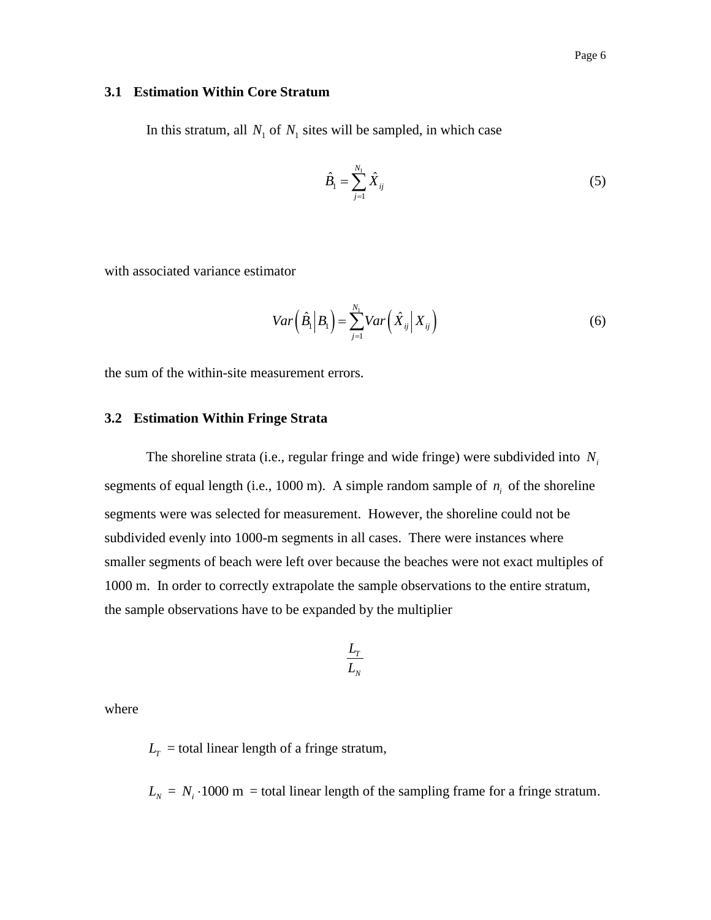#### <span id="page-7-0"></span>**3.1 Estimation Within Core Stratum**

In this stratum, all  $N_1$  of  $N_1$  sites will be sampled, in which case

$$
\hat{B}_1 = \sum_{j=1}^{N_1} \hat{X}_{ij}
$$
 (5)

with associated variance estimator

$$
Var\left(\hat{B}_1\bigg|B_1\right) = \sum_{j=1}^{N_1} Var\left(\hat{X}_{ij}\bigg|X_{ij}\right) \tag{6}
$$

the sum of the within-site measurement errors.

#### <span id="page-7-1"></span>**3.2 Estimation Within Fringe Strata**

The shoreline strata (i.e., regular fringe and wide fringe) were subdivided into *Ni* segments of equal length (i.e., 1000 m). A simple random sample of  $n_i$  of the shoreline segments were was selected for measurement. However, the shoreline could not be subdivided evenly into 1000-m segments in all cases. There were instances where smaller segments of beach were left over because the beaches were not exact multiples of 1000 m. In order to correctly extrapolate the sample observations to the entire stratum, the sample observations have to be expanded by the multiplier

$$
\frac{L_r}{L_N}
$$

where

 $L_T$  = total linear length of a fringe stratum,

 $L_N = N_i \cdot 1000 \text{ m} = \text{total linear length of the sampling frame for a fringe stratum.}$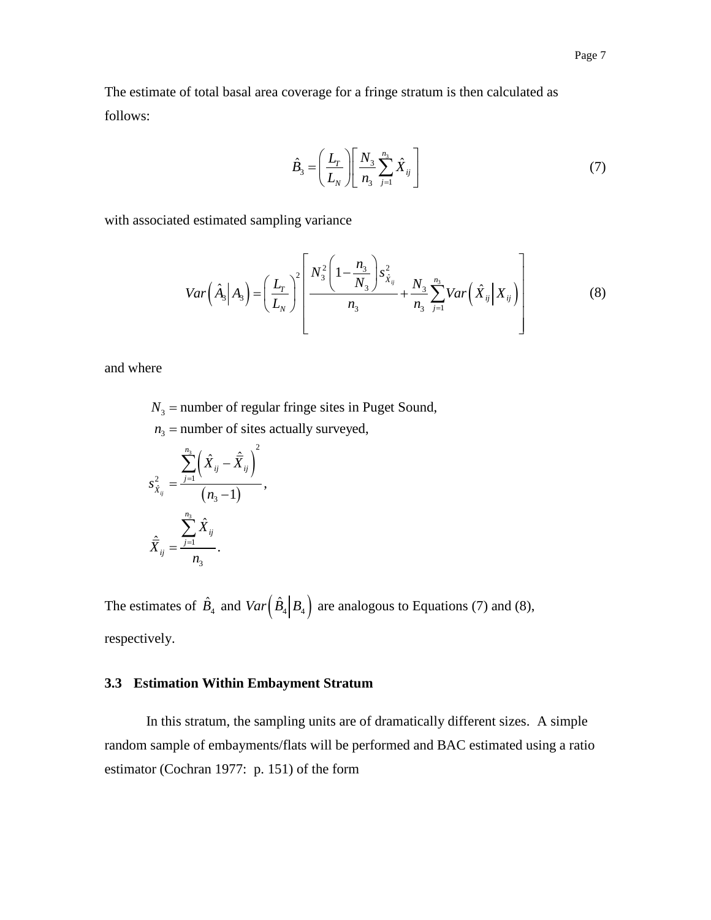The estimate of total basal area coverage for a fringe stratum is then calculated as follows:

$$
\hat{B}_3 = \left(\frac{L_r}{L_N}\right) \left[\frac{N_3}{n_3} \sum_{j=1}^{n_3} \hat{X}_{ij}\right]
$$
\n(7)

with associated estimated sampling variance

d estimated sampling variance  

$$
Var\left(\hat{A}_3 | A_3\right) = \left(\frac{L_r}{L_N}\right)^2 \left[\frac{N_3^2 \left(1 - \frac{n_3}{N_3}\right) s_{\hat{X}_{ij}}^2}{n_3} + \frac{N_3}{n_3} \sum_{j=1}^{n_3} Var\left(\hat{X}_{ij} | X_{ij}\right)\right]
$$
(8)

and where

 $N<sub>3</sub>$  = number of regular fringe sites in Puget Sound,

$$
n_3 = \text{number of sites actually surveyed,}
$$
\n
$$
s_{\hat{X}_{ij}}^2 = \frac{\sum_{j=1}^{n_3} \left(\hat{X}_{ij} - \hat{\overline{X}}_{ij}\right)^2}{\left(n_3 - 1\right)},
$$
\n
$$
\hat{\overline{X}}_{ij} = \frac{\sum_{j=1}^{n_3} \hat{X}_{ij}}{n_3}.
$$

The estimates of  $\hat{B}_4$  and  $Var(\hat{B}_4 | B_4)$  are analogous to Equations (7) and (8), respectively.

## <span id="page-8-0"></span>**3.3 Estimation Within Embayment Stratum**

In this stratum, the sampling units are of dramatically different sizes. A simple random sample of embayments/flats will be performed and BAC estimated using a ratio estimator (Cochran 1977: p. 151) of the form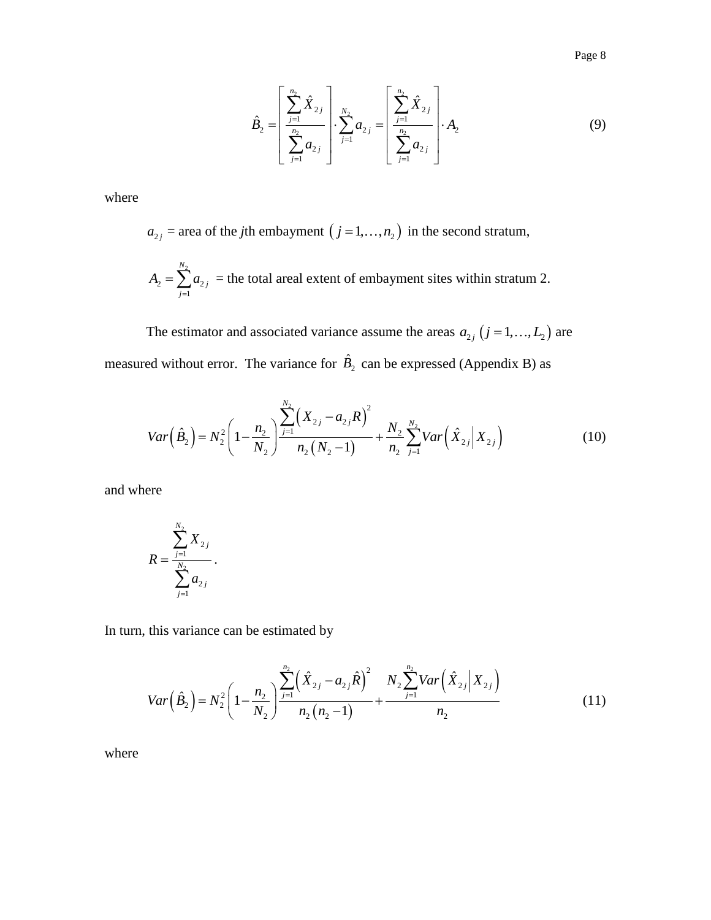Page 8

$$
\hat{B}_2 = \left[ \frac{\sum_{j=1}^{n_2} \hat{X}_{2j}}{\sum_{j=1}^{n_2} a_{2j}} \right] \cdot \sum_{j=1}^{N_2} a_{2j} = \left[ \frac{\sum_{j=1}^{n_2} \hat{X}_{2j}}{\sum_{j=1}^{n_2} a_{2j}} \right] \cdot A_2
$$
\n(9)

where

 $a_{2j}$  = area of the *j*th embayment  $(j = 1, ..., n_2)$  in the second stratum,

$$
A_2 = \sum_{j=1}^{N_2} a_{2j}
$$
 = the total areal extent of employment sites within stratum 2.

The estimator and associated variance assume the areas  $a_{2j}$   $(j = 1, ..., L_2)$  are measured without error. The variance for  $\hat{B}_2$  can be expressed (Appendix B) as

$$
Var\left(\hat{B}_2\right) = N_2^2 \left(1 - \frac{n_2}{N_2}\right) \frac{\sum_{j=1}^{N_2} \left(X_{2j} - a_{2j}R\right)^2}{n_2 \left(N_2 - 1\right)} + \frac{N_2}{n_2} \sum_{j=1}^{N_2} Var\left(\hat{X}_{2j} \middle| X_{2j}\right)
$$
(10)

and where

$$
R = \frac{\sum_{j=1}^{N_2} X_{2j}}{\sum_{j=1}^{N_2} a_{2j}}.
$$

In turn, this variance can be estimated by

this variance can be estimated by  
\n
$$
Var(\hat{B}_2) = N_2^2 \left(1 - \frac{n_2}{N_2}\right) \frac{\sum_{j=1}^{n_2} (\hat{X}_{2j} - a_{2j}\hat{R})^2}{n_2(n_2 - 1)} + \frac{N_2 \sum_{j=1}^{n_2} Var(\hat{X}_{2j} | X_{2j})}{n_2}
$$
\n(11)

where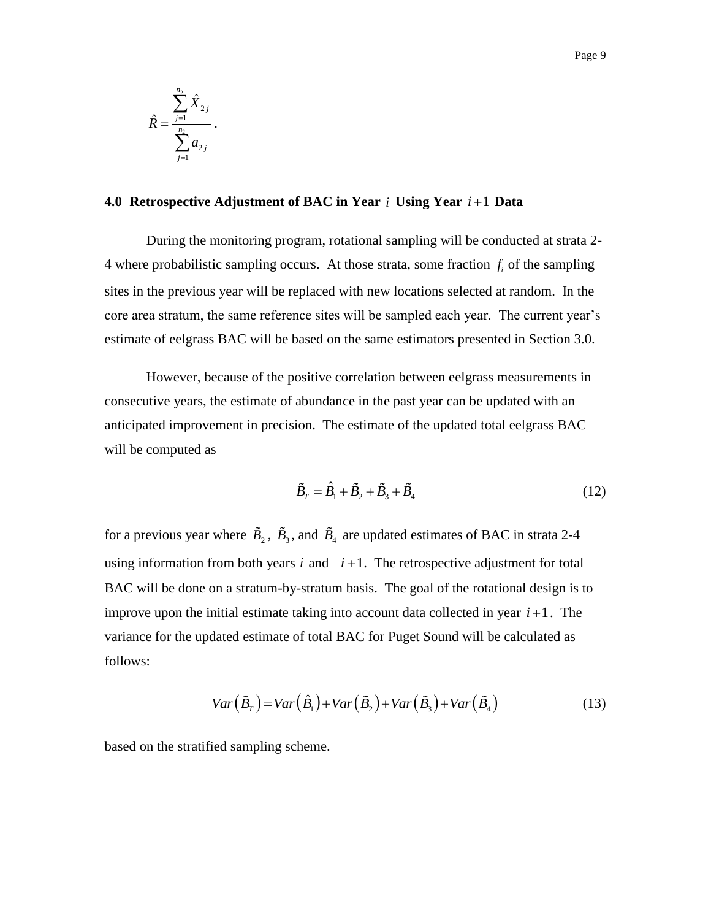$$
\hat{R} = \frac{\sum_{j=1}^{n_2} \hat{X}_{2j}}{\sum_{j=1}^{n_2} a_{2j}}.
$$

#### <span id="page-10-0"></span>**4.0 Retrospective Adjustment of BAC in Year**  *i* **Using Year**  *i* 1 **Data**

During the monitoring program, rotational sampling will be conducted at strata 2- 4 where probabilistic sampling occurs. At those strata, some fraction  $f_i$  of the sampling sites in the previous year will be replaced with new locations selected at random. In the core area stratum, the same reference sites will be sampled each year. The current year's estimate of eelgrass BAC will be based on the same estimators presented in Section 3.0.

However, because of the positive correlation between eelgrass measurements in consecutive years, the estimate of abundance in the past year can be updated with an anticipated improvement in precision. The estimate of the updated total eelgrass BAC will be computed as

$$
\tilde{B}_T = \hat{B}_1 + \tilde{B}_2 + \tilde{B}_3 + \tilde{B}_4
$$
\n(12)

for a previous year where  $\tilde{B}_2$ ,  $\tilde{B}_3$ , and  $\tilde{B}_4$  are updated estimates of BAC in strata 2-4 using information from both years  $i$  and  $i+1$ . The retrospective adjustment for total BAC will be done on a stratum-by-stratum basis. The goal of the rotational design is to improve upon the initial estimate taking into account data collected in year  $i+1$ . The variance for the updated estimate of total BAC for Puget Sound will be calculated as follows:

$$
Var(\tilde{B}_T) = Var(\hat{B}_1) + Var(\tilde{B}_2) + Var(\tilde{B}_3) + Var(\tilde{B}_4)
$$
\n(13)

based on the stratified sampling scheme.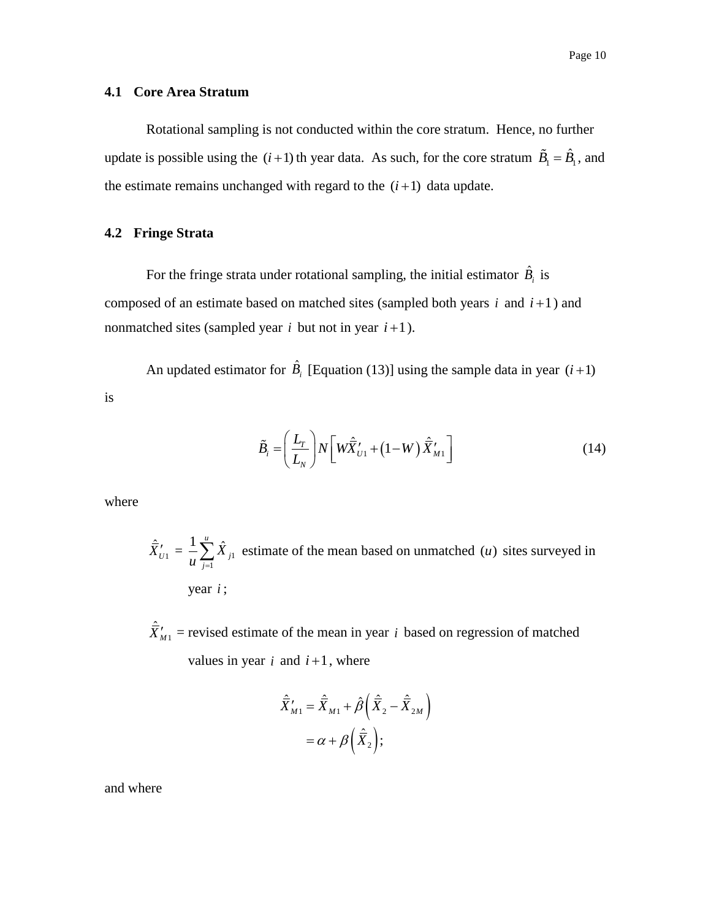#### <span id="page-11-0"></span>**4.1 Core Area Stratum**

Rotational sampling is not conducted within the core stratum. Hence, no further update is possible using the  $(i+1)$  th year data. As such, for the core stratum  $\tilde{B}_1 = \hat{B}_1$ , and the estimate remains unchanged with regard to the  $(i+1)$  data update.

### <span id="page-11-1"></span>**4.2 Fringe Strata**

For the fringe strata under rotational sampling, the initial estimator  $\hat{B}_i$  is composed of an estimate based on matched sites (sampled both years  $i$  and  $i+1$ ) and nonmatched sites (sampled year  $i$  but not in year  $i+1$ ).

An updated estimator for  $\hat{B}_i$  [Equation (13)] using the sample data in year  $(i+1)$ 

$$
\tilde{B}_i = \left(\frac{L_r}{L_N}\right) N \left[ W \hat{\vec{X}}'_{U1} + (1 - W) \hat{\vec{X}}'_{M1} \right]
$$
\n(14)

where

is

$$
\hat{\overline{X}}'_{U1} = \frac{1}{u} \sum_{j=1}^{u} \hat{X}_{j1}
$$
 estimate of the mean based on unmatched (*u*) sites surveyed in year *i*;

 $\hat{\vec{X}}'_{M1}$  = revised estimate of the mean in year *i* based on regression of matched values in year  $i$  and  $i+1$ , where

$$
\hat{\overline{X}}'_{M1} = \hat{\overline{X}}_{M1} + \hat{\beta} \left( \hat{\overline{X}}_2 - \hat{\overline{X}}_{2M} \right)
$$

$$
= \alpha + \beta \left( \hat{\overline{X}}_2 \right);
$$

and where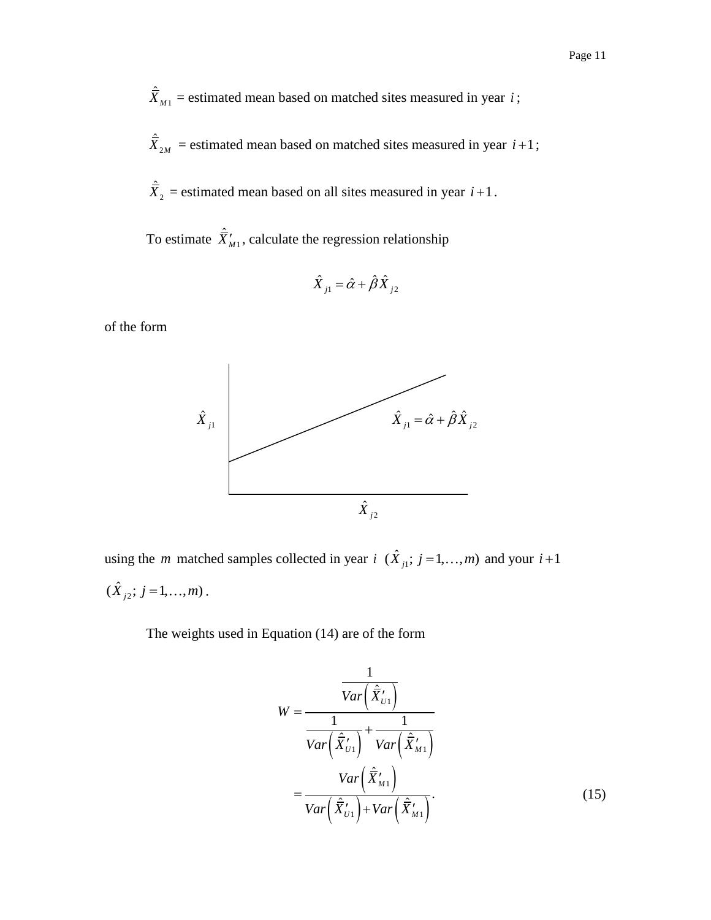$\hat{\vec{X}}_{M1}$  = estimated mean based on matched sites measured in year *i*;

 $\hat{\vec{X}}_{2M}$  = estimated mean based on matched sites measured in year  $i+1$ ;

 $\hat{\overline{X}}_2$  = estimated mean based on all sites measured in year  $i+1$ .

To estimate  $\hat{\bar{X}}'_{M1}$ , calculate the regression relationship

$$
\hat{X}_{j1} = \hat{\alpha} + \hat{\beta}\hat{X}_{j2}
$$

of the form



using the *m* matched samples collected in year  $i$  ( $\hat{X}_{i,j}$ ;  $j = 1,...,m$ ) and your  $i+1$  $(\hat{X}_{j2}; j = 1, ..., m)$ .

The weights used in Equation (14) are of the form

$$
W = \frac{\frac{1}{Var\left(\hat{\bar{X}}'_{U1}\right)}}{\frac{1}{Var\left(\hat{\bar{X}}'_{U1}\right)} + \frac{1}{Var\left(\hat{\bar{X}}'_{M1}\right)}}
$$

$$
= \frac{Var\left(\hat{\bar{X}}'_{M1}\right)}{Var\left(\hat{\bar{X}}'_{U1}\right) + Var\left(\hat{\bar{X}}'_{M1}\right)}.
$$
(15)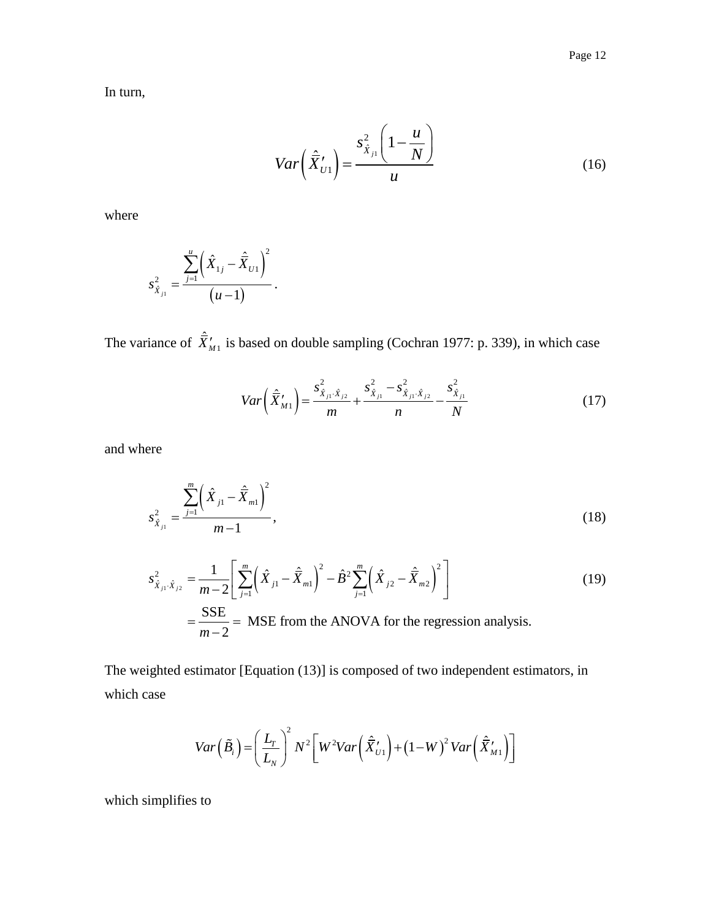In turn,

$$
Var\left(\hat{\bar{X}}'_{U1}\right) = \frac{s_{\hat{X}_{j1}}^2 \left(1 - \frac{u}{N}\right)}{u}
$$
\n(16)

where

$$
s_{\hat{X}_{j_1}}^2 = \frac{\sum_{j=1}^u \left(\hat{X}_{1j} - \hat{\overline{X}}_{U1}\right)^2}{\left(u-1\right)}.
$$

The variance of  $\hat{\bar{X}}'_{M1}$  is based on double sampling (Cochran 1977: p. 339), in which case

$$
Var\left(\hat{\bar{X}}'_{M1}\right) = \frac{s_{\hat{X}_{j1}\cdot\hat{X}_{j2}}^2}{m} + \frac{s_{\hat{X}_{j1}}^2 - s_{\hat{X}_{j1}\cdot\hat{X}_{j2}}^2}{n} - \frac{s_{\hat{X}_{j1}}^2}{N}
$$
(17)

and where

$$
s_{\hat{X}_{j_1}}^2 = \frac{\sum_{j=1}^m \left(\hat{X}_{j1} - \hat{\overline{X}}_{m1}\right)^2}{m-1},
$$
\n(18)

$$
s_{\hat{X}_{j_1}}^2 = \frac{\frac{1}{j=1} \binom{m}{j}}{m-1},
$$
\n
$$
s_{\hat{X}_{j_1} \cdot \hat{X}_{j_2}}^2 = \frac{1}{m-2} \left[ \sum_{j=1}^m \left( \hat{X}_{j1} - \hat{\overline{X}}_{m1} \right)^2 - \hat{B}^2 \sum_{j=1}^m \left( \hat{X}_{j2} - \hat{\overline{X}}_{m2} \right)^2 \right]
$$
\n
$$
= \frac{\text{SSE}}{m-2} = \text{MSE from the ANOVA for the regression analysis.}
$$
\n(19)

The weighted estimator [Equation (13)] is composed of two independent estimators, in which case

$$
Var\left(\tilde{B}_{i}\right) = \left(\frac{L_{T}}{L_{N}}\right)^{2} N^{2} \left[W^{2}Var\left(\tilde{\tilde{X}}'_{U1}\right) + \left(1 - W\right)^{2}Var\left(\tilde{\tilde{X}}'_{M1}\right)\right]
$$

which simplifies to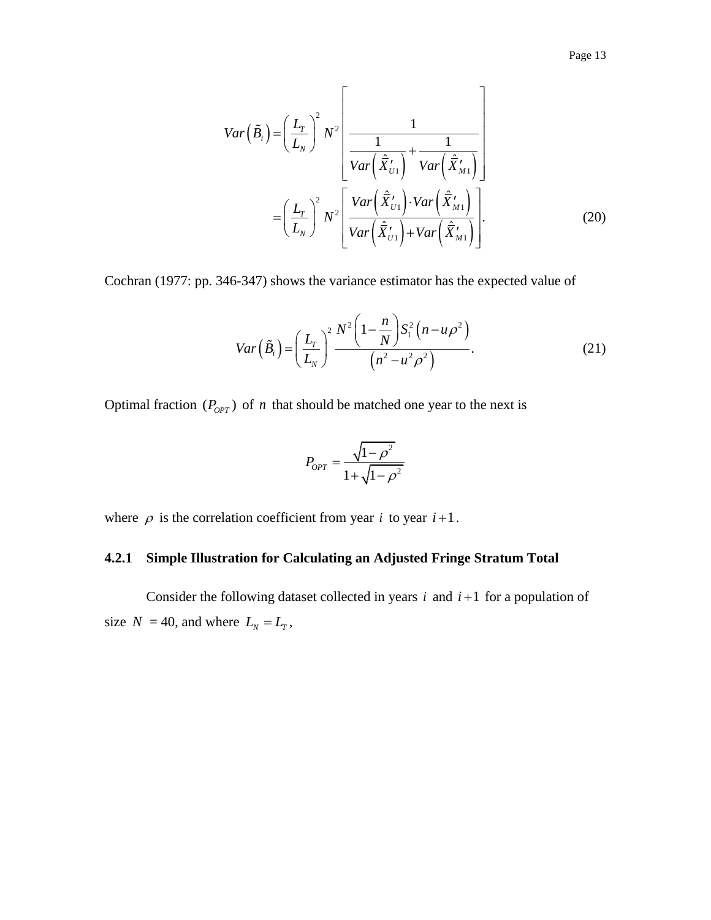$$
Var\left(\tilde{B}_{i}\right) = \left(\frac{L_{r}}{L_{N}}\right)^{2} N^{2} \left[\frac{1}{Var\left(\hat{\overline{X}}'_{U1}\right)} + \frac{1}{Var\left(\hat{\overline{X}}'_{M1}\right)}\right]
$$

$$
= \left(\frac{L_{r}}{L_{N}}\right)^{2} N^{2} \left[\frac{Var\left(\hat{\overline{X}}'_{U1}\right) \cdot Var\left(\hat{\overline{X}}'_{M1}\right)}{Var\left(\hat{\overline{X}}'_{U1}\right) + Var\left(\hat{\overline{X}}'_{M1}\right)}\right].
$$
(20)

Cochran (1977: pp. 346-347) shows the variance estimator has the expected value of

$$
Var\left(\tilde{B}_{i}\right) = \left(\frac{L_{r}}{L_{N}}\right)^{2} \frac{N^{2}\left(1 - \frac{n}{N}\right)S_{1}^{2}\left(n - u\rho^{2}\right)}{\left(n^{2} - u^{2}\rho^{2}\right)}.
$$
\n(21)

Optimal fraction  $(P_{OPT})$  of *n* that should be matched one year to the next is

$$
P_{OPT} = \frac{\sqrt{1 - \rho^2}}{1 + \sqrt{1 - \rho^2}}
$$

where  $\rho$  is the correlation coefficient from year *i* to year  $i+1$ .

## <span id="page-14-0"></span>**4.2.1 Simple Illustration for Calculating an Adjusted Fringe Stratum Total**

Consider the following dataset collected in years  $i$  and  $i+1$  for a population of size  $N = 40$ , and where  $L_N = L_T$ ,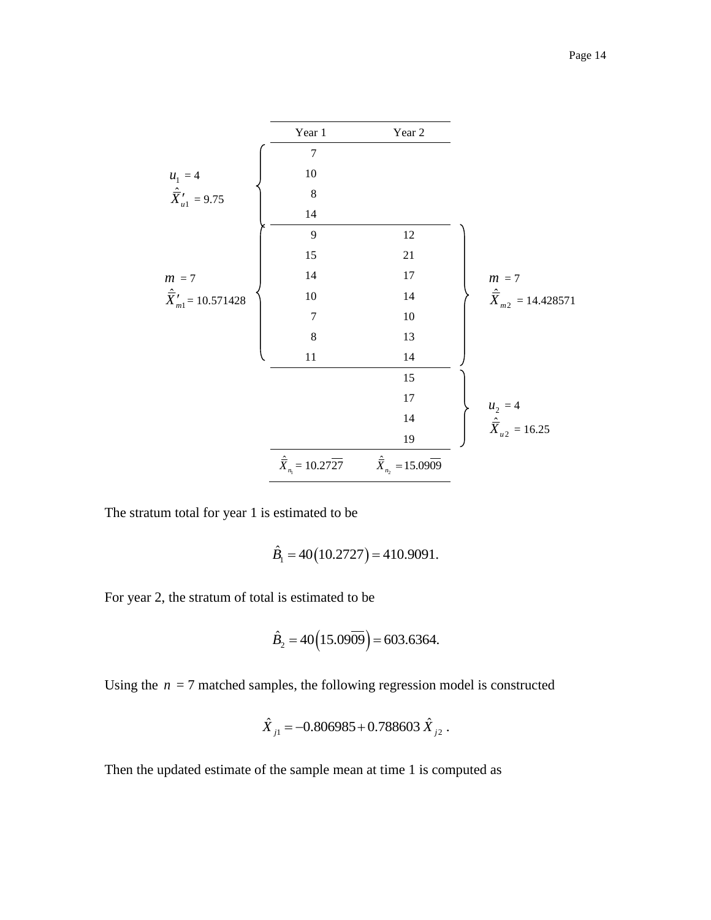



The stratum total for year 1 is estimated to be

$$
\hat{B}_1 = 40(10.2727) = 410.9091.
$$

For year 2, the stratum of total is estimated to be

$$
\hat{B}_2 = 40(15.0909) = 603.6364.
$$

Using the  $n = 7$  matched samples, the following regression model is constructed

$$
\hat{X}_{j1} = -0.806985 + 0.788603 \hat{X}_{j2} .
$$

Then the updated estimate of the sample mean at time 1 is computed as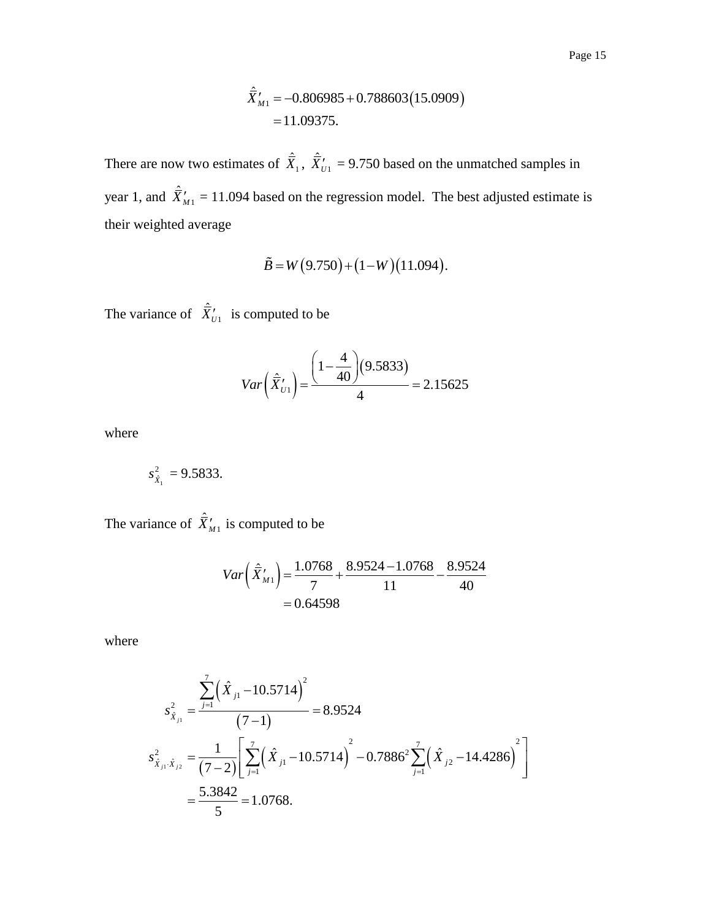$$
\hat{\overline{X}}'_{M1} = -0.806985 + 0.788603(15.0909)
$$
  
= 11.09375.

There are now two estimates of  $\hat{\overline{X}}_1$ ,  $\hat{\overline{X}}'_U$ <sub>1</sub> = 9.750 based on the unmatched samples in year 1, and  $\hat{\overline{X}}'_{M1} = 11.094$  based on the regression model. The best adjusted estimate is their weighted average

$$
\tilde{B} = W(9.750) + (1-W)(11.094).
$$

The variance of  $\hat{\bar{X}}'_{U1}$  is computed to be

$$
Var\left(\hat{\overline{X}}'_{U1}\right) = \frac{\left(1 - \frac{4}{40}\right)(9.5833)}{4} = 2.15625
$$

where

$$
s_{\hat{X}_1}^2 = 9.5833.
$$

The variance of  $\hat{\bar{X}}'_{M1}$  is computed to be

$$
Var\left(\hat{\overline{X}}'_{M1}\right) = \frac{1.0768}{7} + \frac{8.9524 - 1.0768}{11} - \frac{8.9524}{40} = 0.64598
$$

where

$$
s_{\hat{X}_{j1}}^2 = \frac{\sum_{j=1}^7 (\hat{X}_{j1} - 10.5714)^2}{(7-1)} = 8.9524
$$
  

$$
s_{\hat{X}_{j1} \cdot \hat{X}_{j2}}^2 = \frac{1}{(7-2)} \left[ \sum_{j=1}^7 (\hat{X}_{j1} - 10.5714)^2 - 0.7886^2 \sum_{j=1}^7 (\hat{X}_{j2} - 14.4286)^2 \right]
$$

$$
= \frac{5.3842}{5} = 1.0768.
$$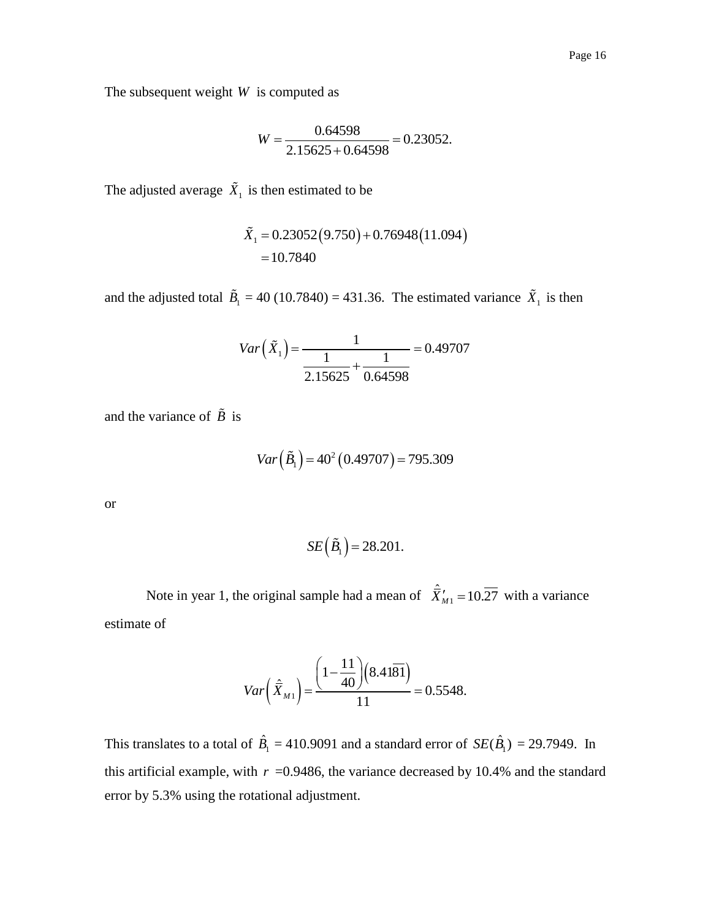The subsequent weight *W* is computed as

$$
W = \frac{0.64598}{2.15625 + 0.64598} = 0.23052.
$$

The adjusted average  $\hat{X}_1$  is then estimated to be

$$
\tilde{X}_1 = 0.23052(9.750) + 0.76948(11.094)
$$
  
= 10.7840

and the adjusted total  $\tilde{B}_1 = 40 (10.7840) = 431.36$ . The estimated variance  $\tilde{X}_1$  is then

$$
Var\left(\tilde{X}_1\right) = \frac{1}{\frac{1}{2.15625} + \frac{1}{0.64598}} = 0.49707
$$

and the variance of  $\ddot{B}$  is

$$
Var\left(\tilde{B}_1\right) = 40^2 \left(0.49707\right) = 795.309
$$

or

$$
SE\left(\tilde{B}_1\right) = 28.201.
$$

Note in year 1, the original sample had a mean of  $\hat{\vec{X}}'_{M1} = 10.\overline{27}$  with a variance estimate of

$$
Var\left(\hat{\overline{X}}_{M1}\right) = \frac{\left(1 - \frac{11}{40}\right)\left(8.41\overline{81}\right)}{11} = 0.5548.
$$

This translates to a total of  $\hat{B}_1 = 410.9091$  and a standard error of  $SE(\hat{B}_1) = 29.7949$ . In this artificial example, with  $r = 0.9486$ , the variance decreased by 10.4% and the standard error by 5.3% using the rotational adjustment.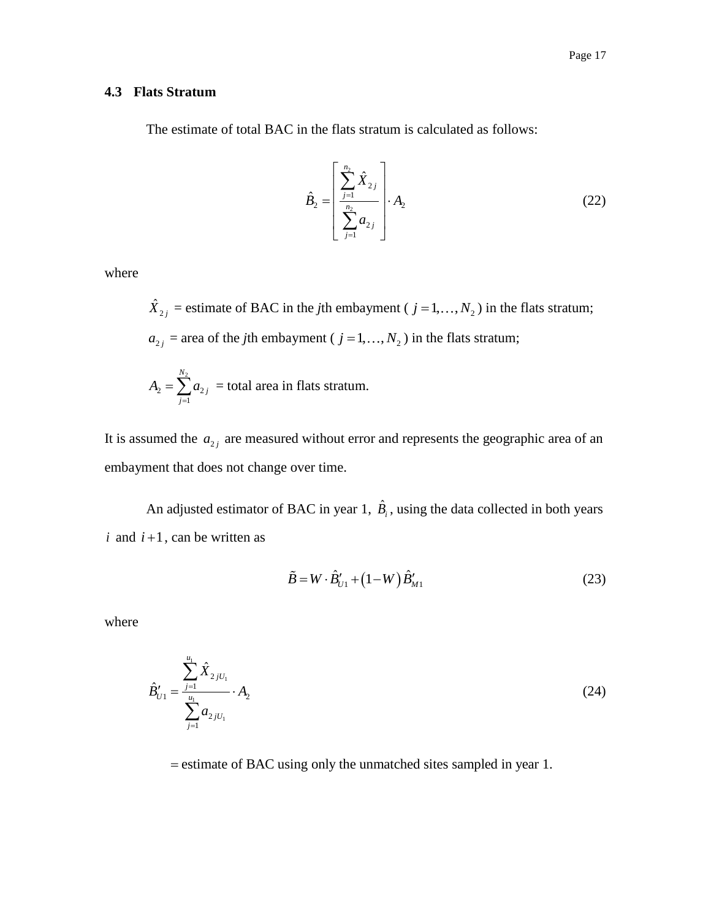## <span id="page-18-0"></span>**4.3 Flats Stratum**

The estimate of total BAC in the flats stratum is calculated as follows:

$$
\hat{B}_2 = \left[ \frac{\sum_{j=1}^{n_2} \hat{X}_{2j}}{\sum_{j=1}^{n_2} a_{2j}} \right] \cdot A_2
$$
\n(22)

where

 $\hat{X}_{2j}$  = estimate of BAC in the *j*th embayment (  $j = 1, ..., N_2$  ) in the flats stratum;  $a_{2j}$  = area of the *j*th embayment (  $j = 1, ..., N_2$  ) in the flats stratum;

$$
A_2 = \sum_{j=1}^{N_2} a_{2j} =
$$
total area in flats stratum.

It is assumed the  $a_{2j}$  are measured without error and represents the geographic area of an embayment that does not change over time.

An adjusted estimator of BAC in year 1,  $\hat{B}_i$ , using the data collected in both years  $i$  and  $i+1$ , can be written as

$$
\tilde{B} = W \cdot \hat{B}_{U1}' + (1 - W) \hat{B}_{M1}' \tag{23}
$$

where

$$
\hat{B}'_{U1} = \frac{\sum_{j=1}^{u_1} \hat{X}_{2jU_1}}{\sum_{j=1}^{u_1} a_{2jU_1}} \cdot A_2
$$
\n(24)

= estimate of BAC using only the unmatched sites sampled in year 1.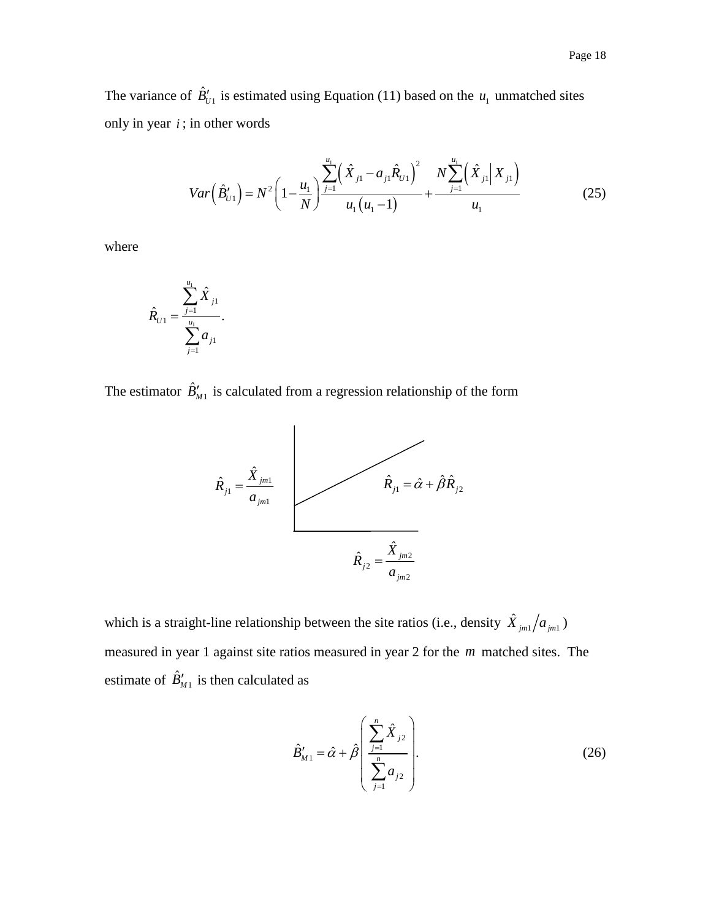The variance of  $\hat{B}'_{U_1}$  is estimated using Equation (11) based on the  $u_1$  unmatched sites only in year  $i$ ; in other words

in other words  
\n
$$
Var\left(\hat{B}'_{U1}\right) = N^2 \left(1 - \frac{u_1}{N}\right) \frac{\sum_{j=1}^{u_1} \left(\hat{X}_{j1} - a_{j1} \hat{R}_{U1}\right)^2}{u_1 \left(u_1 - 1\right)} + \frac{N \sum_{j=1}^{u_1} \left(\hat{X}_{j1} \middle| X_{j1}\right)}{u_1}
$$
\n(25)

where

$$
\hat{R}_{U1} = \frac{\sum_{j=1}^{u_1} \hat{X}_{j1}}{\sum_{j=1}^{u_1} a_{j1}}.
$$

The estimator  $\hat{B}_{M1}'$  is calculated from a regression relationship of the form



which is a straight-line relationship between the site ratios (i.e., density  $\hat{X}_{jm} / a_{jm}$ ) measured in year 1 against site ratios measured in year 2 for the *m* matched sites. The estimate of  $\hat{B}_{M1}^{\prime}$  is then calculated as

$$
\hat{B}'_{M1} = \hat{\alpha} + \hat{\beta} \left( \frac{\sum_{j=1}^{n} \hat{X}_{j2}}{\sum_{j=1}^{n} a_{j2}} \right).
$$
 (26)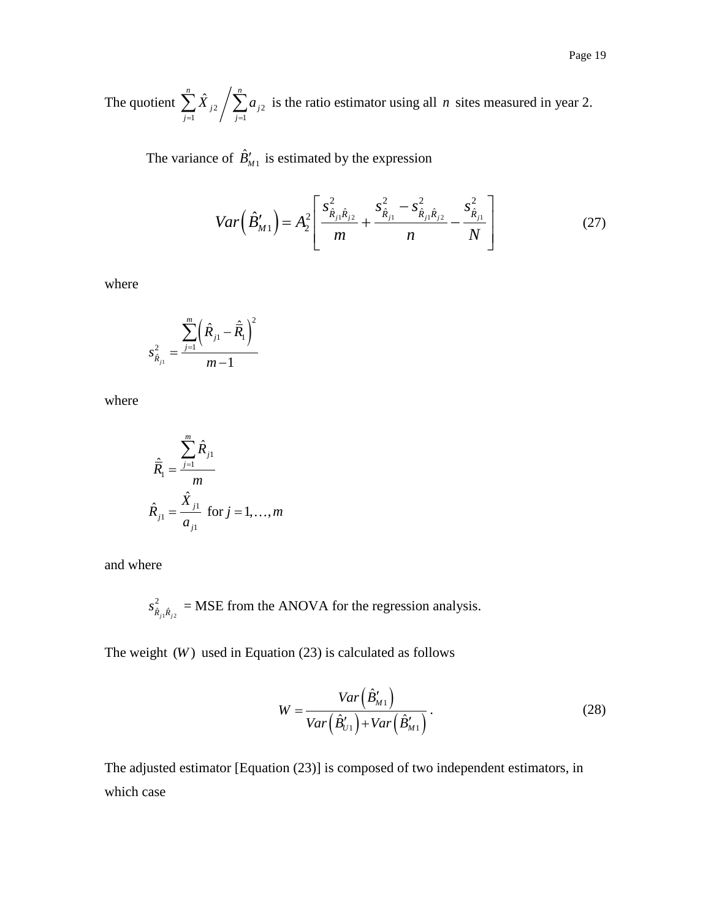The quotient  $\sum X_{j2} / \sum a_{j2}$  $-1$  /  $j=1$  $\sum_{n=1}^{n} \hat{X}_{n}$  $j$  2  $\prime$   $\prime$   $\prime$   $\prime$   $\prime$ *j j*  $\hat{X}_{i2}$   $\sum a$  $\sum_{j=1}^{n} \hat{X}_{j2} / \sum_{j=1}^{n} a_{j2}$  is the ratio estimator using all *n* sites measured in year 2.

The variance of  $\hat{B}_{M1}$  is estimated by the expression

$$
Var\left(\hat{B}_{M1}'\right) = A_2^2 \left[ \frac{s_{\hat{R}_{j1}\hat{R}_{j2}}^2}{m} + \frac{s_{\hat{R}_{j1}}^2 - s_{\hat{R}_{j1}\hat{R}_{j2}}^2}{n} - \frac{s_{\hat{R}_{j1}}^2}{N} \right]
$$
(27)

where

$$
s_{\hat{R}_{j1}}^2 = \frac{\sum_{j=1}^m (\hat{R}_{j1} - \hat{R}_1)^2}{m-1}
$$

where

$$
\hat{\overline{R}}_1 = \frac{\sum_{j=1}^{m} \hat{R}_{j1}}{m}
$$
  

$$
\hat{R}_{j1} = \frac{\hat{X}_{j1}}{a_{j1}} \text{ for } j = 1,..., m
$$

and where

$$
s_{\hat{R}_{j_1}\hat{R}_{j_2}}^2
$$
 = MSE from the ANOVA for the regression analysis.

The weight  $(W)$  used in Equation  $(23)$  is calculated as follows

$$
W = \frac{Var\left(\hat{B}_{M1}'\right)}{Var\left(\hat{B}_{U1}'\right) + Var\left(\hat{B}_{M1}'\right)}.
$$
\n(28)

The adjusted estimator [Equation (23)] is composed of two independent estimators, in which case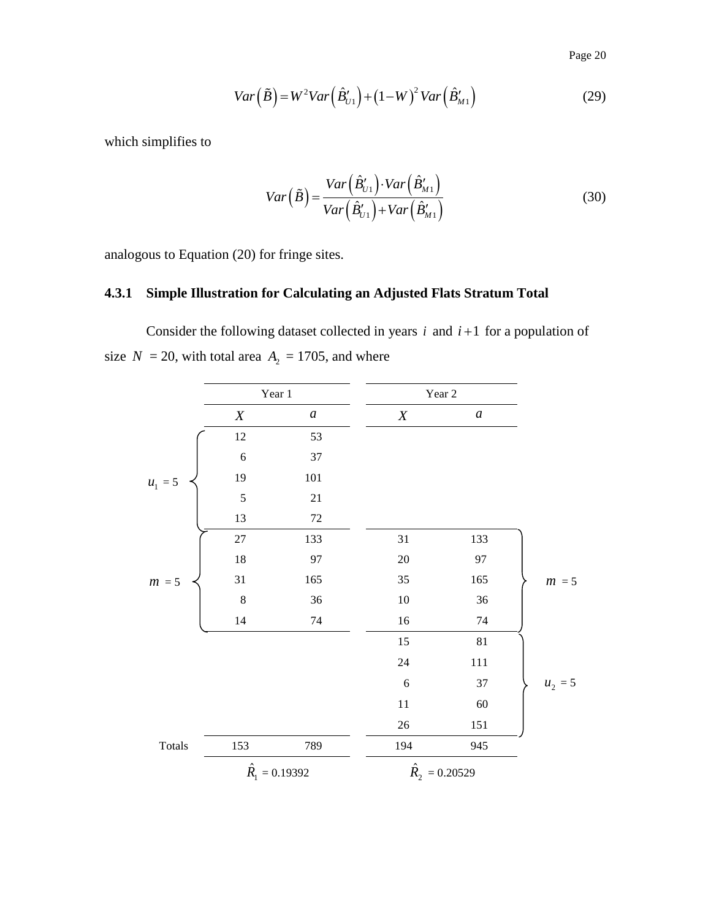Page 20

$$
Var(\tilde{B}) = W^2 Var(\hat{B}_{U1}') + (1 - W)^2 Var(\hat{B}_{M1}')
$$
\n(29)

which simplifies to

$$
Var\left(\tilde{B}\right) = \frac{Var\left(\hat{B}_{U1}'\right) \cdot Var\left(\hat{B}_{M1}'\right)}{Var\left(\hat{B}_{U1}'\right) + Var\left(\hat{B}_{M1}'\right)}\tag{30}
$$

analogous to Equation (20) for fringe sites.

## <span id="page-21-0"></span>**4.3.1 Simple Illustration for Calculating an Adjusted Flats Stratum Total**

Consider the following dataset collected in years  $i$  and  $i+1$  for a population of size  $N = 20$ , with total area  $A_2 = 1705$ , and where

|           | Year 1           |                       | Year 2                  |                  |           |
|-----------|------------------|-----------------------|-------------------------|------------------|-----------|
|           | $\boldsymbol{X}$ | $\boldsymbol{a}$      | $\boldsymbol{X}$        | $\boldsymbol{a}$ |           |
|           | 12               | 53                    |                         |                  |           |
|           | $\sqrt{6}$       | 37                    |                         |                  |           |
| $u_1 = 5$ | 19               | $101\,$               |                         |                  |           |
|           | 5                | $21\,$                |                         |                  |           |
|           | 13               | $72\,$                |                         |                  |           |
|           | $27\,$           | 133                   | 31                      | 133              |           |
|           | $18\,$           | 97                    | $20\,$                  | 97               |           |
| $m = 5$   | 31               | 165                   | 35                      | 165              | $m = 5$   |
|           | $\,8\,$          | 36                    | $10\,$                  | 36               |           |
|           | $14\,$           | $74\,$                | $16\,$                  | 74               |           |
|           |                  |                       | 15                      | 81               |           |
|           |                  |                       | 24                      | 111              |           |
|           |                  |                       | 6                       | 37               | $u_2 = 5$ |
|           |                  |                       | $11\,$                  | $60\,$           |           |
|           |                  |                       | $26\,$                  | 151              |           |
| Totals    | 153              | 789                   | 194                     | 945              |           |
|           |                  | $\hat{R}_1 = 0.19392$ | $\hat{R}_{2} = 0.20529$ |                  |           |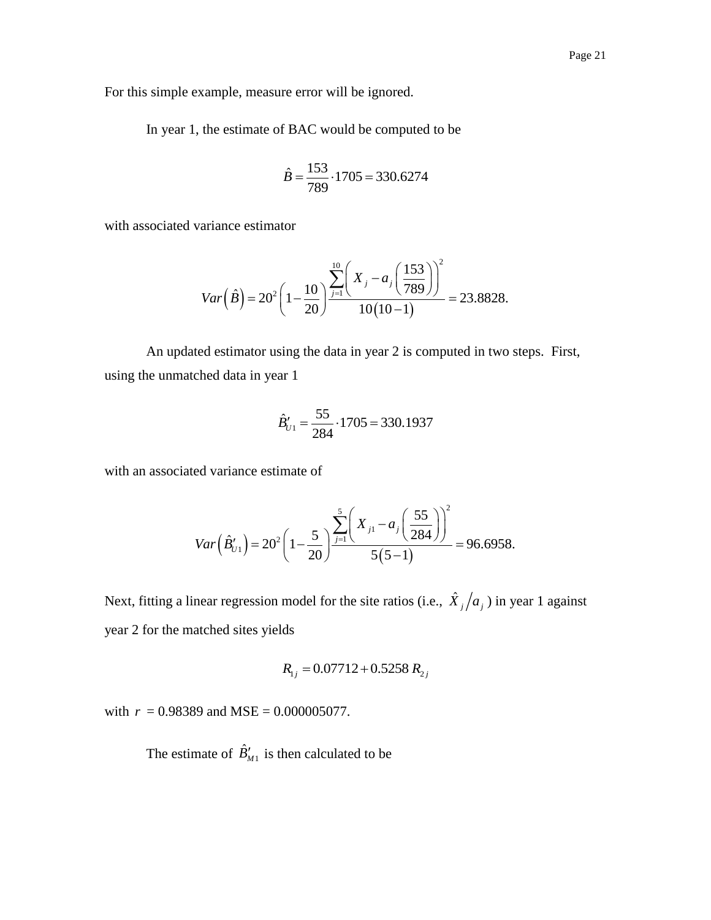For this simple example, measure error will be ignored.

In year 1, the estimate of BAC would be computed to be

$$
\hat{B} = \frac{153}{789} \cdot 1705 = 330.6274
$$

with associated variance estimator

$$
Var\left(\hat{B}\right) = 20^{2} \left(1 - \frac{10}{20}\right) \frac{\sum_{j=1}^{10} \left(X_{j} - a_{j}\left(\frac{153}{789}\right)\right)^{2}}{10(10-1)} = 23.8828.
$$

 $\lambda$ 

An updated estimator using the data in year 2 is computed in two steps. First, using the unmatched data in year 1

$$
\hat{B}'_{U1} = \frac{55}{284} \cdot 1705 = 330.1937
$$

with an associated variance estimate of

$$
Var\left(\hat{B}'_{U1}\right) = 20^2 \left(1 - \frac{5}{20}\right) \frac{\sum_{j=1}^{5} \left(X_{j1} - a_j \left(\frac{55}{284}\right)\right)^2}{5(5-1)} = 96.6958.
$$

Next, fitting a linear regression model for the site ratios (i.e.,  $\hat{X}_j/a_j$ ) in year 1 against year 2 for the matched sites yields

$$
R_{1j} = 0.07712 + 0.5258 R_{2j}
$$

with  $r = 0.98389$  and MSE =  $0.000005077$ .

The estimate of  $\hat{B}_{M1}^{\prime}$  is then calculated to be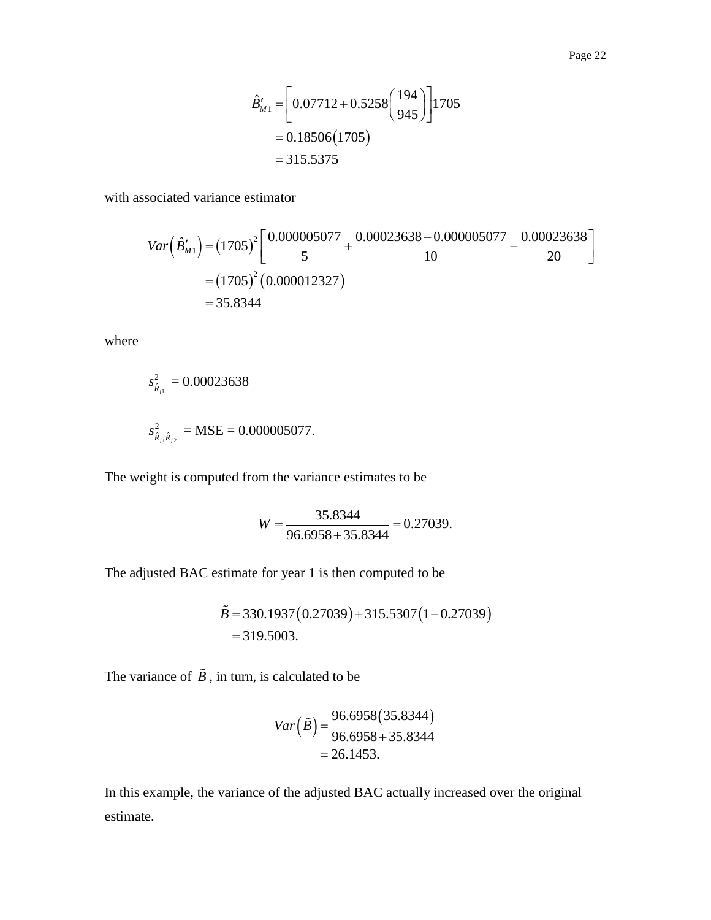$$
\hat{B}'_{M1} = \left[ 0.07712 + 0.5258 \left( \frac{194}{945} \right) \right] 1705
$$
  
= 0.18506(1705)  
= 315.5375

with associated variance estimator  
\n
$$
Var(\hat{B}_{M1}^{\prime}) = (1705)^{2} \left[ \frac{0.000005077}{5} + \frac{0.00023638 - 0.000005077}{10} - \frac{0.00023638}{20} \right]
$$
\n
$$
= (1705)^{2} (0.000012327)
$$
\n
$$
= 35.8344
$$

where

$$
s_{\hat{R}_{j1}}^2 = 0.00023638
$$
  

$$
s_{\hat{R}_{j1}\hat{R}_{j2}}^2 = \text{MSE} = 0.000005077.
$$

The weight is computed from the variance estimates to be

$$
W = \frac{35.8344}{96.6958 + 35.8344} = 0.27039.
$$

The adjusted BAC estimate for year 1 is then computed to be

$$
\tilde{B} = 330.1937 (0.27039) + 315.5307 (1 - 0.27039)
$$
  
= 319.5003.

The variance of  $\ddot{B}$ , in turn, is calculated to be

$$
Var(\tilde{B}) = \frac{96.6958(35.8344)}{96.6958 + 35.8344}
$$

$$
= 26.1453.
$$

In this example, the variance of the adjusted BAC actually increased over the original estimate.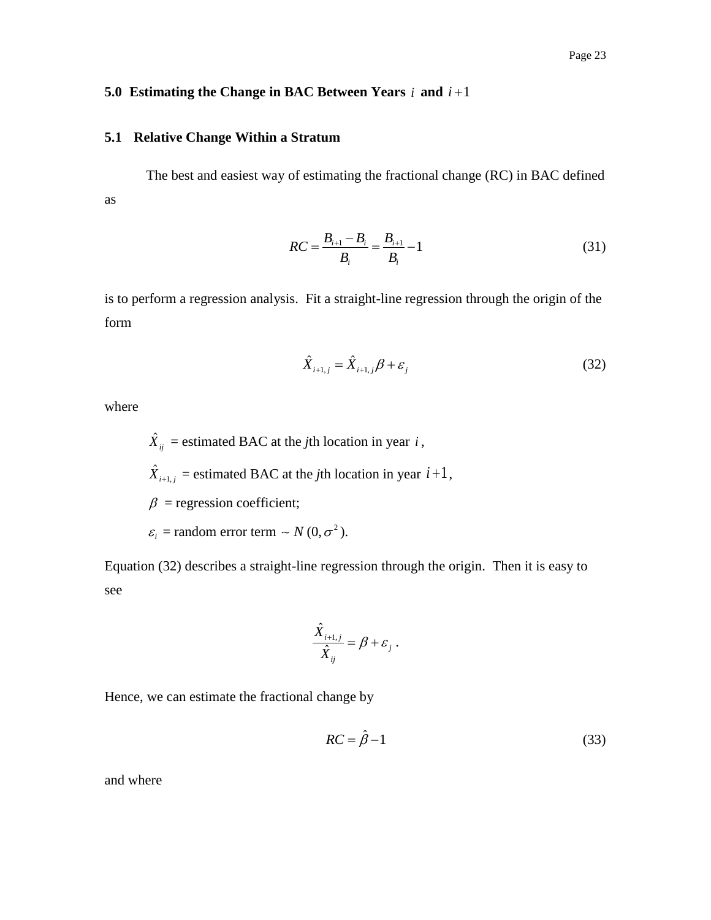#### <span id="page-24-0"></span>**5.0 Estimating the Change in BAC Between Years**  $i$  **and**  $i+1$

## <span id="page-24-1"></span>**5.1 Relative Change Within a Stratum**

The best and easiest way of estimating the fractional change (RC) in BAC defined as

$$
RC = \frac{B_{i+1} - B_i}{B_i} = \frac{B_{i+1}}{B_i} - 1
$$
\n(31)

is to perform a regression analysis. Fit a straight-line regression through the origin of the form

$$
\hat{X}_{i+1,j} = \hat{X}_{i+1,j}\beta + \varepsilon_j
$$
\n(32)

where

$$
\hat{X}_{ij} = \text{estimated BAC at the } j\text{th location in year } i \, ,
$$
\n
$$
\hat{X}_{i+1,j} = \text{estimated BAC at the } j\text{th location in year } i+1 \, ,
$$
\n
$$
\beta = \text{regression coefficient;}
$$
\n
$$
\varepsilon_i = \text{random error term } \sim N(0, \sigma^2).
$$

Equation (32) describes a straight-line regression through the origin. Then it is easy to see

$$
\frac{\hat{X}_{i+1,j}}{\hat{X}_{ij}} = \beta + \varepsilon_j.
$$

Hence, we can estimate the fractional change by

$$
RC = \hat{\beta} - 1 \tag{33}
$$

and where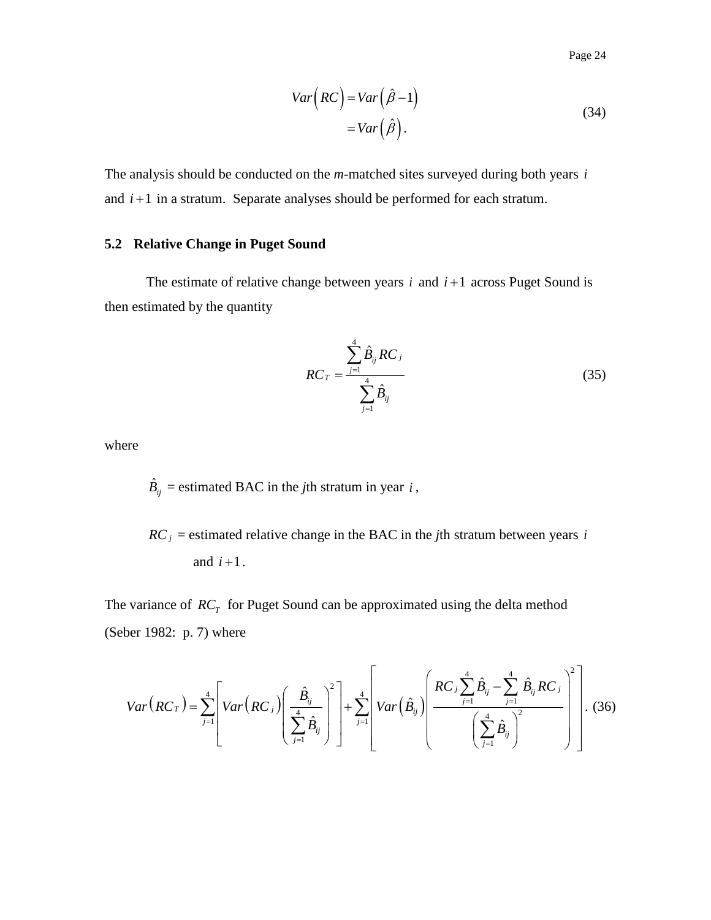Page 24

$$
Var\left(RC\right) = Var\left(\hat{\beta} - 1\right)
$$
  
= Var\left(\hat{\beta}\right). (34)

The analysis should be conducted on the *m*-matched sites surveyed during both years *i* and  $i+1$  in a stratum. Separate analyses should be performed for each stratum.

## <span id="page-25-0"></span>**5.2 Relative Change in Puget Sound**

The estimate of relative change between years  $i$  and  $i+1$  across Puget Sound is then estimated by the quantity

$$
RC_T = \frac{\sum_{j=1}^{4} \hat{B}_{ij} RC_j}{\sum_{j=1}^{4} \hat{B}_{ij}}
$$
(35)

where

 $\hat{B}_{ij}$  = estimated BAC in the *j*th stratum in year *i*,

 $RC<sub>j</sub>$  = estimated relative change in the BAC in the *j*th stratum between years *i* and  $i+1$ .

The variance of  $RC<sub>T</sub>$  for Puget Sound can be approximated using the delta method (Seber 1982: p. 7) where

We variance of 
$$
RC_T
$$
 for Puget Sound can be approximated using the delta method  
ber 1982: p. 7) where  

$$
Var(RC_T) = \sum_{j=1}^{4} \left[ Var(RC_j) \left( \frac{\hat{B}_{ij}}{\sum_{j=1}^{4} \hat{B}_{ij}} \right)^2 \right] + \sum_{j=1}^{4} \left[ Var(\hat{B}_{ij}) \left( \frac{RC_j \sum_{j=1}^{4} \hat{B}_{ij} - \sum_{j=1}^{4} \hat{B}_{ij} RC_j}{\left( \sum_{j=1}^{4} \hat{B}_{ij} \right)^2} \right) \right].
$$
(36)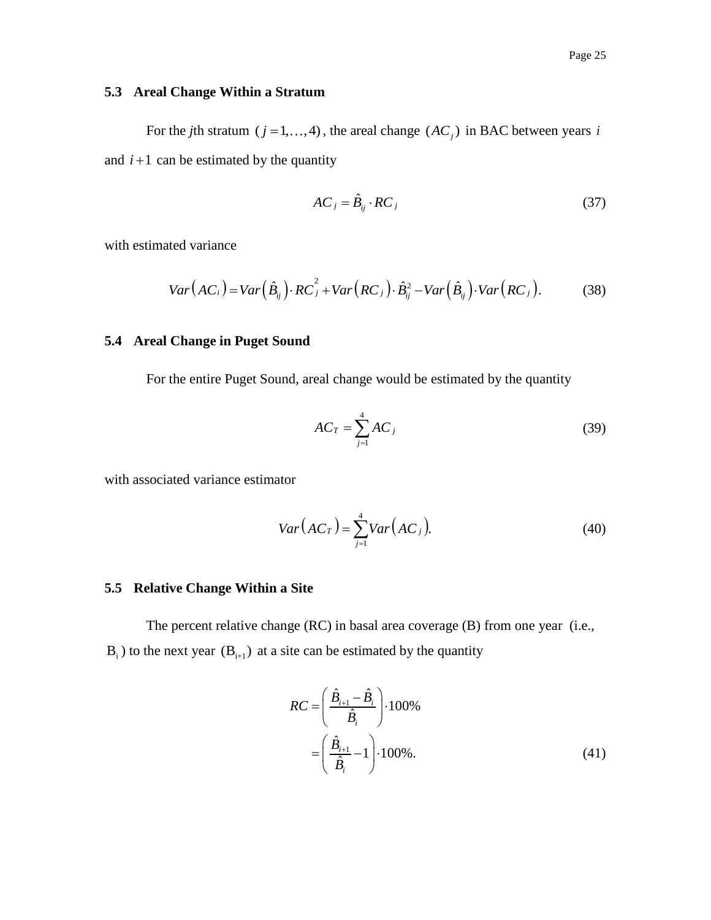## <span id="page-26-0"></span>**5.3 Areal Change Within a Stratum**

For the *j*th stratum ( $j = 1, ..., 4$ ), the areal change ( $AC_j$ ) in BAC between years *i* and  $i+1$  can be estimated by the quantity

$$
AC_j = \hat{B}_{ij} \cdot RC_j \tag{37}
$$

with estimated variance

ted variance  
\n
$$
Var(AC_i) = Var(\hat{B}_{ij}) \cdot RC_j^2 + Var(RC_j) \cdot \hat{B}_{ij}^2 - Var(\hat{B}_{ij}) \cdot Var(RC_j).
$$
\n(38)

## <span id="page-26-1"></span>**5.4 Areal Change in Puget Sound**

For the entire Puget Sound, areal change would be estimated by the quantity

$$
AC_T = \sum_{j=1}^{4} AC_j \tag{39}
$$

with associated variance estimator

$$
Var(AC_T) = \sum_{j=1}^{4} Var(AC_j).
$$
 (40)

## <span id="page-26-2"></span>**5.5 Relative Change Within a Site**

The percent relative change (RC) in basal area coverage (B) from one year (i.e.,  $B_i$ ) to the next year  $(B_{i+1})$  at a site can be estimated by the quantity

$$
RC = \left(\frac{\hat{B}_{i+1} - \hat{B}_i}{\hat{B}_i}\right) \cdot 100\%
$$
  
=  $\left(\frac{\hat{B}_{i+1}}{\hat{B}_i} - 1\right) \cdot 100\%$ . (41)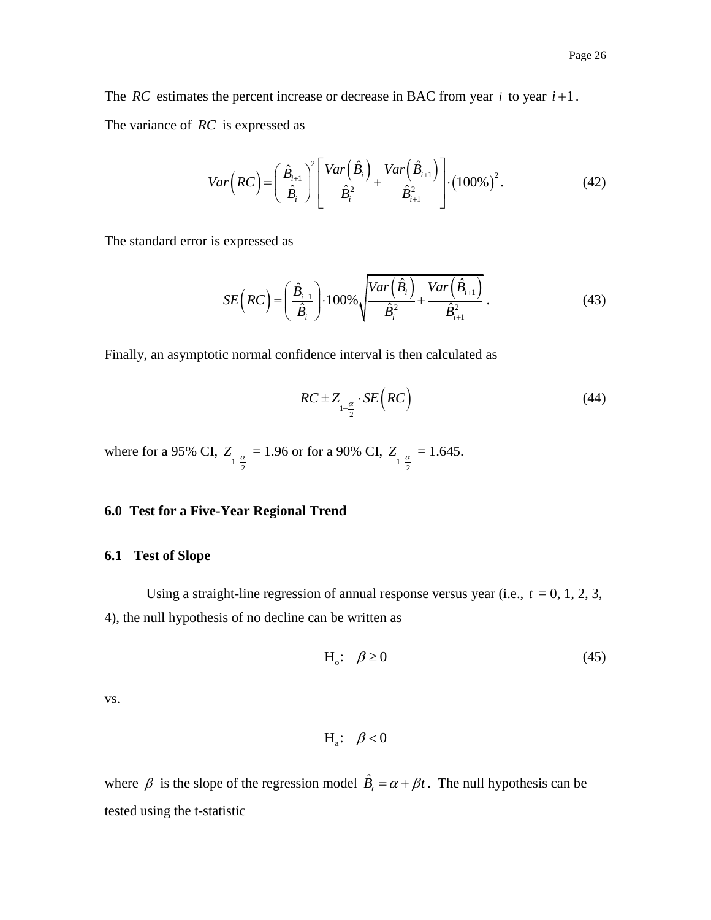The *RC* estimates the percent increase or decrease in BAC from year  $i$  to year  $i+1$ . The variance of *RC* is expressed as

$$
Var\left(RC\right) = \left(\frac{\hat{B}_{i+1}}{\hat{B}_i}\right)^2 \left[\frac{Var\left(\hat{B}_i\right)}{\hat{B}_i^2} + \frac{Var\left(\hat{B}_{i+1}\right)}{\hat{B}_{i+1}^2}\right] \cdot \left(100\% \right)^2.
$$
 (42)

The standard error is expressed as

$$
SE\left(RC\right) = \left(\frac{\hat{B}_{i+1}}{\hat{B}_i}\right) \cdot 100\% \sqrt{\frac{Var\left(\hat{B}_i\right)}{\hat{B}_i^2} + \frac{Var\left(\hat{B}_{i+1}\right)}{\hat{B}_{i+1}^2}}\,. \tag{43}
$$

Finally, an asymptotic normal confidence interval is then calculated as

$$
RC \pm Z_{1-\frac{\alpha}{2}} \cdot SE\left( RC\right) \tag{44}
$$

where for a 95% CI,  $Z_{1-\frac{\alpha}{2}}$  $Z_{1-\frac{\alpha}{2}} = 1.96$  or for a 90% CI,  $Z_{1-\frac{\alpha}{2}}$  $Z_{1-\frac{\alpha}{2}} = 1.645.$ 

#### <span id="page-27-0"></span>**6.0 Test for a Five-Year Regional Trend**

#### <span id="page-27-1"></span>**6.1 Test of Slope**

Using a straight-line regression of annual response versus year (i.e.,  $t = 0, 1, 2, 3$ , 4), the null hypothesis of no decline can be written as

$$
H_o: \quad \beta \ge 0 \tag{45}
$$

vs.

$$
H_a\!\!:\ \ \, \beta<0
$$

where  $\beta$  is the slope of the regression model  $\hat{B}_t = \alpha + \beta t$ . The null hypothesis can be tested using the t-statistic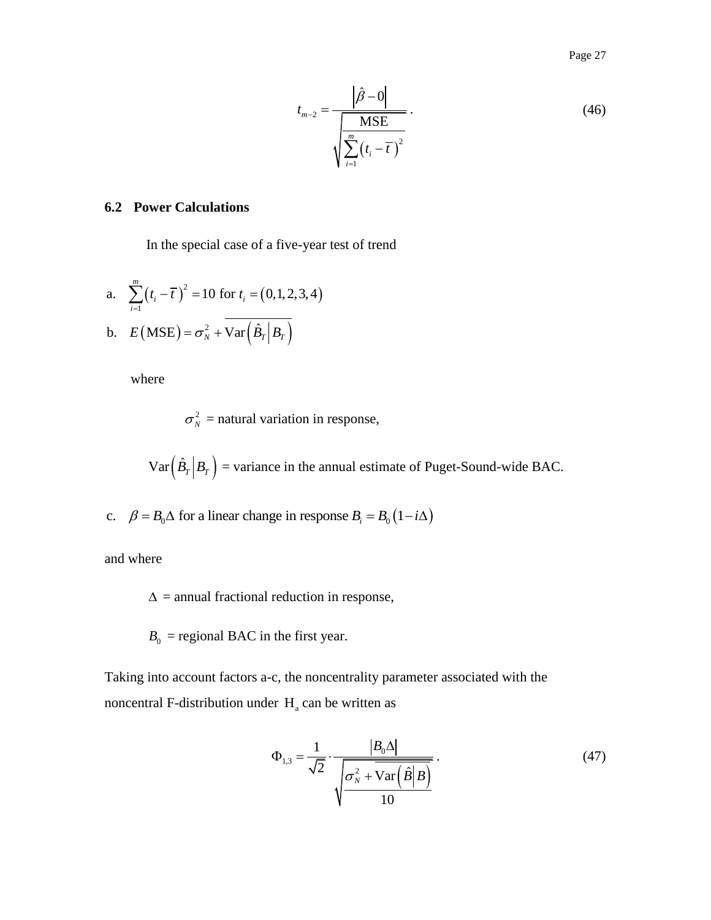Page 27

$$
t_{m-2} = \frac{\left|\hat{\beta} - 0\right|}{\sqrt{\sum_{i=1}^{m} (t_i - \overline{t})^2}}.
$$
\n(46)

## <span id="page-28-0"></span>**6.2 Power Calculations**

In the special case of a five-year test of trend

a. 
$$
\sum_{i=1}^{m} (t_i - \overline{t})^2 = 10 \text{ for } t_i = (0, 1, 2, 3, 4)
$$
  
b. 
$$
E(MSE) = \sigma_N^2 + \overline{\text{Var}(\hat{B}_T|B_T)}
$$

where

$$
\sigma_N^2
$$
 = natural variation in response,

 $Var\left(\hat{B}_T\big|B_T\right)$  = variance in the annual estimate of Puget-Sound-wide BAC.

c.  $\beta = B_0 \Delta$  for a linear change in response  $B_i = B_0 (1 - i \Delta)$ 

and where

 $\Delta$  = annual fractional reduction in response,

 $B_0$  = regional BAC in the first year.

Taking into account factors a-c, the noncentrality parameter associated with the noncentral F-distribution under  $H_a$  can be written as

$$
\Phi_{1,3} = \frac{1}{\sqrt{2}} \cdot \frac{|B_0 \Delta|}{\sqrt{\frac{\sigma_N^2 + \text{Var}(\hat{B}|B)}{10}}}.
$$
\n(47)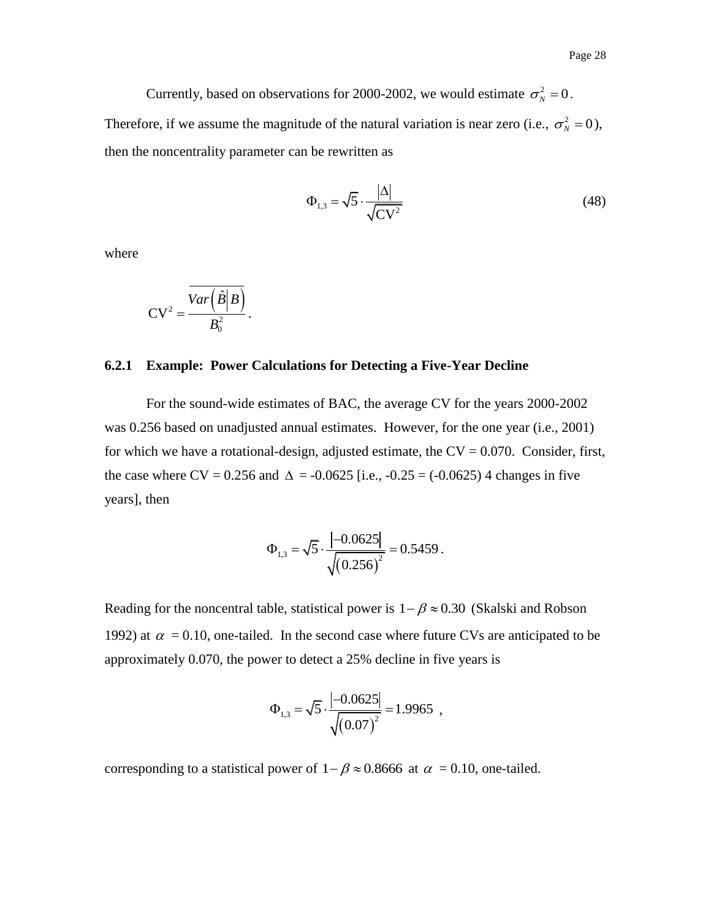Currently, based on observations for 2000-2002, we would estimate  $\sigma_N^2 = 0$ . Therefore, if we assume the magnitude of the natural variation is near zero (i.e.,  $\sigma_N^2 = 0$ ), then the noncentrality parameter can be rewritten as

$$
\Phi_{1,3} = \sqrt{5} \cdot \frac{|\Delta|}{\sqrt{CV^2}}
$$
\n(48)

where

$$
CV^2 = \frac{\overline{Var\left(\hat{B}\middle|B\right)}}{B_0^2}.
$$

#### <span id="page-29-0"></span>**6.2.1 Example: Power Calculations for Detecting a Five-Year Decline**

For the sound-wide estimates of BAC, the average CV for the years 2000-2002 was 0.256 based on unadjusted annual estimates. However, for the one year (i.e., 2001) for which we have a rotational-design, adjusted estimate, the  $CV = 0.070$ . Consider, first, the case where CV = 0.256 and  $\Delta$  = -0.0625 [i.e., -0.25 = (-0.0625) 4 changes in five years], then

$$
\Phi_{1,3} = \sqrt{5} \cdot \frac{|-0.0625|}{\sqrt{(0.256)^2}} = 0.5459.
$$

Reading for the noncentral table, statistical power is  $1 - \beta \approx 0.30$  (Skalski and Robson 1992) at  $\alpha = 0.10$ , one-tailed. In the second case where future CVs are anticipated to be approximately 0.070, the power to detect a 25% decline in five years is

$$
\Phi_{1,3} = \sqrt{5} \cdot \frac{|-0.0625|}{\sqrt{(0.07)^2}} = 1.9965,
$$

corresponding to a statistical power of  $1 - \beta \approx 0.8666$  at  $\alpha = 0.10$ , one-tailed.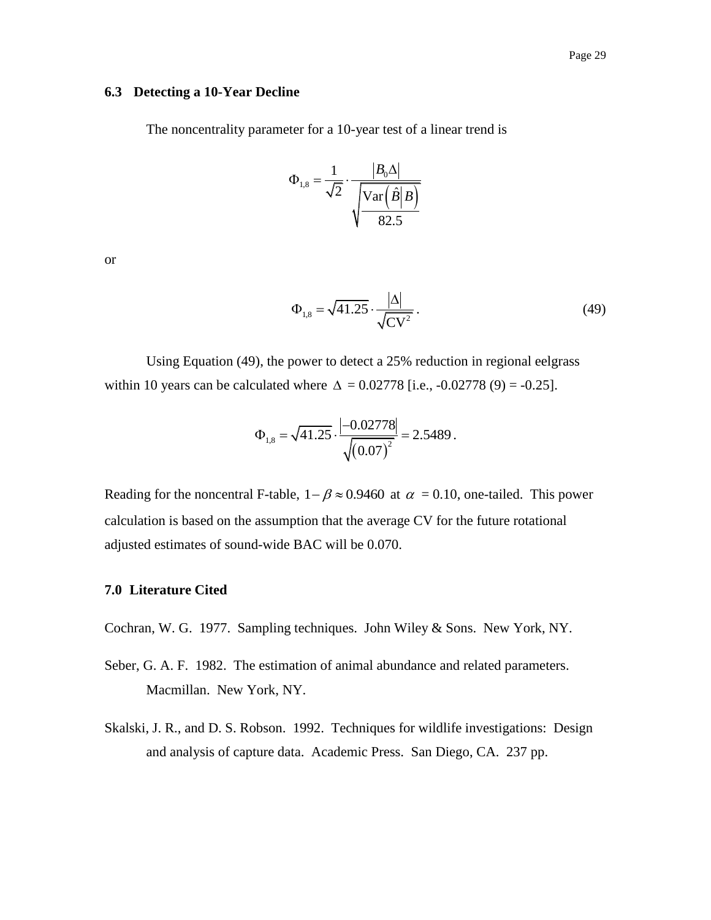#### <span id="page-30-0"></span>**6.3 Detecting a 10-Year Decline**

The noncentrality parameter for a 10-year test of a linear trend is

$$
\Phi_{1,8} = \frac{1}{\sqrt{2}} \cdot \frac{|B_0 \Delta|}{\sqrt{\text{Var}(\hat{B}|B)}}
$$

$$
\sqrt{\frac{\text{Var}(\hat{B}|B)}{82.5}}
$$

or

$$
\Phi_{1,8} = \sqrt{41.25} \cdot \frac{|\Delta|}{\sqrt{CV^2}}.
$$
\n(49)

Using Equation (49), the power to detect a 25% reduction in regional eelgrass within 10 years can be calculated where  $\Delta = 0.02778$  [i.e., -0.02778 (9) = -0.25].

$$
\Phi_{1,8} = \sqrt{41.25} \cdot \frac{|-0.02778|}{\sqrt{(0.07)^2}} = 2.5489.
$$

Reading for the noncentral F-table,  $1 - \beta \approx 0.9460$  at  $\alpha = 0.10$ , one-tailed. This power calculation is based on the assumption that the average CV for the future rotational adjusted estimates of sound-wide BAC will be 0.070.

## <span id="page-30-1"></span>**7.0 Literature Cited**

Cochran, W. G. 1977. Sampling techniques. John Wiley & Sons. New York, NY.

- Seber, G. A. F. 1982. The estimation of animal abundance and related parameters. Macmillan. New York, NY.
- <span id="page-30-2"></span>Skalski, J. R., and D. S. Robson. 1992. Techniques for wildlife investigations: Design and analysis of capture data. Academic Press. San Diego, CA. 237 pp.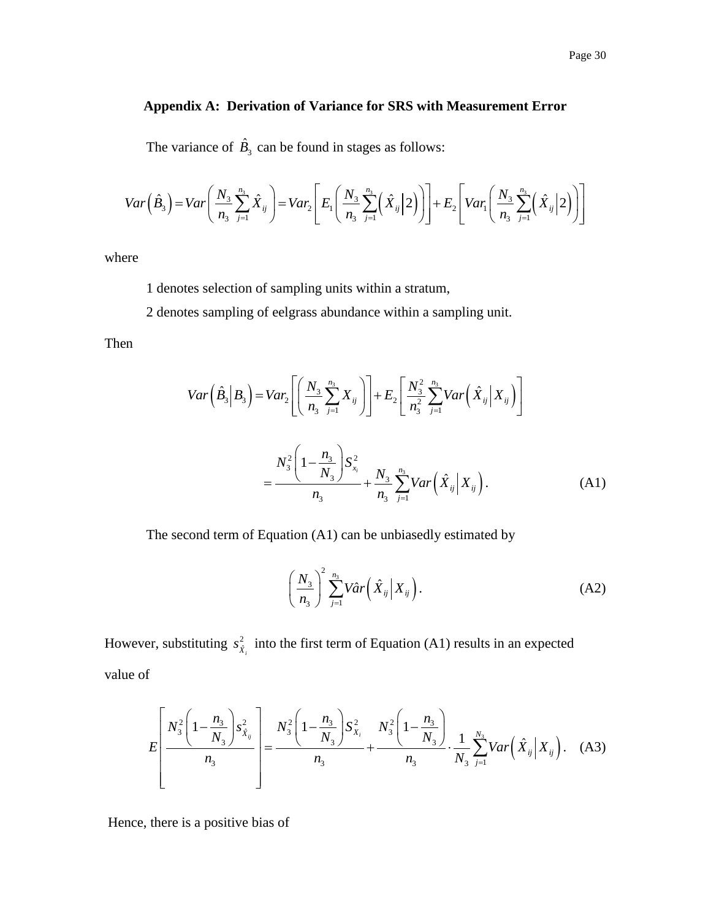## **Appendix A: Derivation of Variance for SRS with Measurement Error**

The variance of 
$$
\hat{B}_3
$$
 can be found in stages as follows:  
\n
$$
Var\left(\hat{B}_3\right) = Var\left(\frac{N_3}{n_3} \sum_{j=1}^{n_3} \hat{X}_{ij}\right) = Var_2\left[E_1\left(\frac{N_3}{n_3} \sum_{j=1}^{n_3} \left(\hat{X}_{ij} | 2\right)\right)\right] + E_2\left[Var_1\left(\frac{N_3}{n_3} \sum_{j=1}^{n_3} \left(\hat{X}_{ij} | 2\right)\right)\right]
$$

where

1 denotes selection of sampling units within a stratum,

2 denotes sampling of eelgrass abundance within a sampling unit.

Then

$$
Var\left(\hat{B}_3 \middle| B_3 \right) = Var_2 \left[ \left( \frac{N_3}{n_3} \sum_{j=1}^{n_3} X_{ij} \right) \right] + E_2 \left[ \frac{N_3^2}{n_3^2} \sum_{j=1}^{n_3} Var \left( \hat{X}_{ij} \middle| X_{ij} \right) \right]
$$
  

$$
= \frac{N_3^2 \left( 1 - \frac{n_3}{N_3} \right) S_{x_i}^2}{n_3} + \frac{N_3}{n_3} \sum_{j=1}^{n_3} Var \left( \hat{X}_{ij} \middle| X_{ij} \right). \tag{A1}
$$

The second term of Equation (A1) can be unbiasedly estimated by

$$
\left(\frac{N_3}{n_3}\right)^2 \sum_{j=1}^{n_3} V\hat{a}r\left(\hat{X}_{ij} \middle| X_{ij}\right). \tag{A2}
$$

However, substituting  $s_{\hat{x}_i}^2$  into the first term of Equation (A1) results in an expected value of

$$
E\left[\frac{N_3^2\left(1-\frac{n_3}{N_3}\right)s_{\hat{X}_{ij}}^2}{n_3}\right] = \frac{N_3^2\left(1-\frac{n_3}{N_3}\right)S_{X_i}^2}{n_3} + \frac{N_3^2\left(1-\frac{n_3}{N_3}\right)}{n_3} \cdot \frac{1}{N_3}\sum_{j=1}^{N_3}Var\left(\hat{X}_{ij}|X_{ij}\right). \quad (A3)
$$

Hence, there is a positive bias of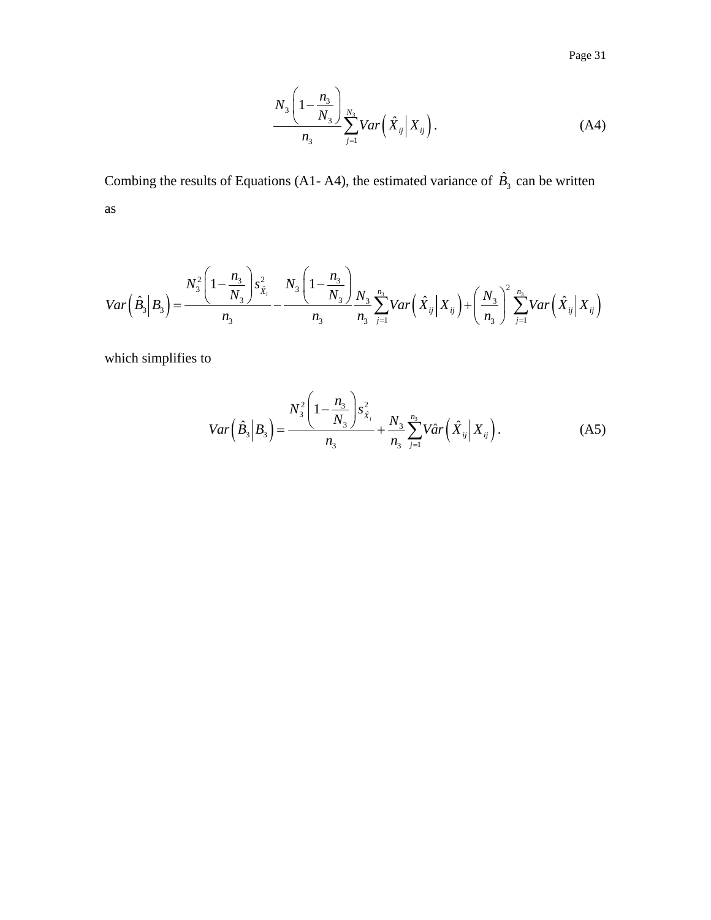Page 31

$$
\frac{N_3\left(1-\frac{n_3}{N_3}\right)}{n_3}\sum_{j=1}^{N_3}Var\left(\hat{X}_{ij}\bigg|\,X_{ij}\right).
$$
\n(A4)

Combing the results of Equations (A1- A4), the estimated variance of  $\hat{B}_3$  can be written as

as  

$$
Var\left(\hat{B}_3|B_3\right) = \frac{N_3^2\left(1 - \frac{n_3}{N_3}\right)s_{\hat{X}_i}^2}{n_3} - \frac{N_3\left(1 - \frac{n_3}{N_3}\right)}{n_3} \frac{N_3}{n_3} \sum_{j=1}^{n_3} Var\left(\hat{X}_{ij}|X_{ij}\right) + \left(\frac{N_3}{n_3}\right)^2 \sum_{j=1}^{n_3} Var\left(\hat{X}_{ij}|X_{ij}\right)
$$

which simplifies to

$$
Var\left(\hat{B}_3 \middle| B_3 \right) = \frac{N_3^2 \left(1 - \frac{n_3}{N_3}\right) s_{\hat{X}_i}^2}{n_3} + \frac{N_3}{n_3} \sum_{j=1}^{n_3} V \hat{a} r \left(\hat{X}_{ij} \middle| X_{ij}\right). \tag{A5}
$$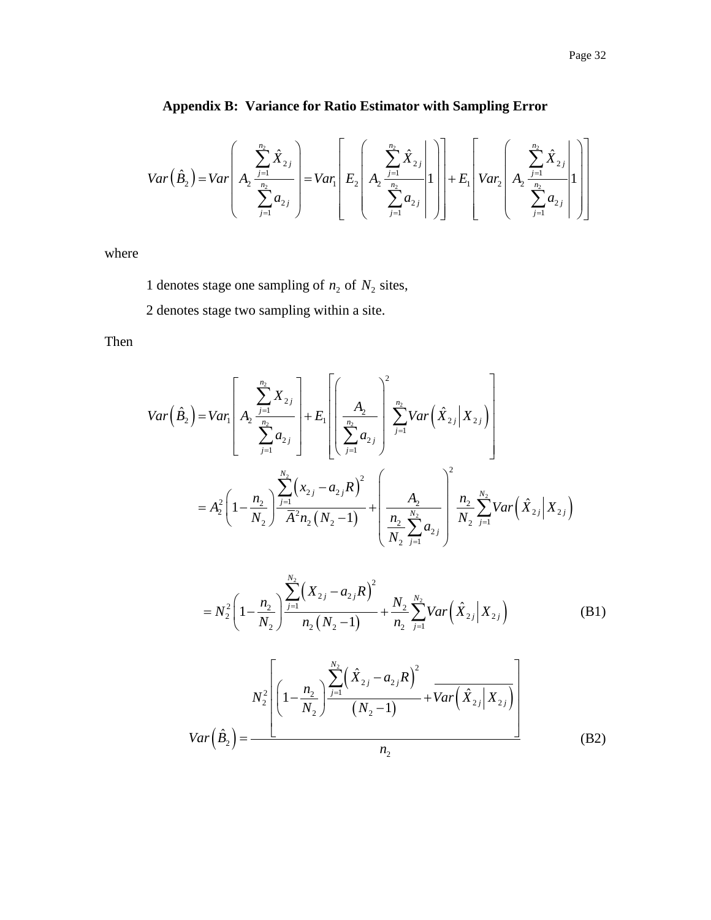<span id="page-33-0"></span>Appendix B: Variance for Ratio Estimator with Sampling Error  
\n
$$
Var(\hat{B}_2) = Var\left(A_2 \frac{\sum_{j=1}^{n_2} \hat{X}_{2j}}{\sum_{j=1}^{n_2} a_{2j}}\right) = Var_1\left[E_2\left(A_2 \frac{\sum_{j=1}^{n_2} \hat{X}_{2j}}{\sum_{j=1}^{n_2} a_{2j}}\right]\right] + E_1\leftVar_2\left(A_2 \frac{\sum_{j=1}^{n_2} \hat{X}_{2j}}{\sum_{j=1}^{n_2} a_{2j}}\right]\right]
$$

where

1 denotes stage one sampling of  $n_2$  of  $N_2$  sites,

2 denotes stage two sampling within a site.

Then

$$
Var\left(\hat{B}_{2}\right) = Var_{1}\left[A_{2} \frac{\sum_{j=1}^{n_{2}} X_{2j}}{\sum_{j=1}^{n_{2}} a_{2j}}\right] + E_{1}\left[\frac{A_{2}}{\sum_{j=1}^{n_{2}} a_{2j}}\right] \sum_{j=1}^{n_{2}} Var\left(\hat{X}_{2j} | X_{2j}\right)
$$

$$
= A_{2}^{2}\left(1 - \frac{n_{2}}{N_{2}}\right) \frac{\sum_{j=1}^{N_{2}} (x_{2j} - a_{2j}R)^{2}}{\overline{A}^{2} n_{2} (N_{2} - 1)} + \left(\frac{A_{2}}{\frac{n_{2}}{N_{2}} \sum_{j=1}^{N_{2}} a_{2j}}\right) \frac{n_{2}}{N_{2}} \sum_{j=1}^{N_{2}} Var\left(\hat{X}_{2j} | X_{2j}\right)
$$

$$
=N_2^2\left(1-\frac{n_2}{N_2}\right)\frac{\sum_{j=1}^{N_2}\left(X_{2j}-a_{2j}R\right)^2}{n_2\left(N_2-1\right)}+\frac{N_2}{n_2}\sum_{j=1}^{N_2}Var\left(\hat{X}_{2j} | X_{2j}\right) \tag{B1}
$$

$$
Var(\hat{B}_2) = \frac{N_2^2 \left[ \left(1 - \frac{n_2}{N_2}\right) \frac{\sum_{j=1}^{N_2} (\hat{X}_{2j} - a_{2j}R)^2}{(N_2 - 1)} + Var(\hat{X}_{2j} | X_{2j}) \right]}{n_2}
$$
(B2)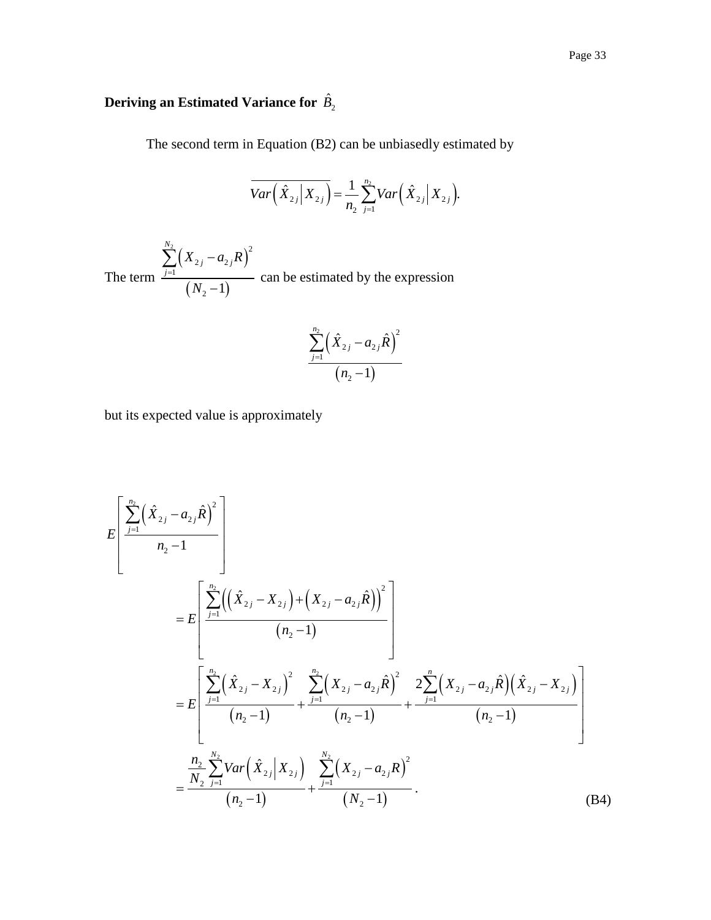# Deriving an Estimated Variance for  $\hat{B_2}$

The second term in Equation (B2) can be unbiasedly estimated by

$$
\overline{Var\left(\hat{X}_{2j} | X_{2j}\right)} = \frac{1}{n_2} \sum_{j=1}^{n_2} Var\left(\hat{X}_{2j} | X_{2j}\right).
$$

The term  $(X_{2i} - a_{2i}R)$  $(N_2 - 1)$  $\frac{2}{2}$   $\left( -2 \right)$   $\frac{2}{3}$  $2 j - u_2$ 1  $\frac{1}{2} - 1$ *N*  $j - u_{2j}$ *j*  $X_{2i} - a_{2i}R$ *N* =  $\overline{a}$  $\overline{a}$  $\sum\limits_{ }^{ }$ can be estimated by the expression

$$
\frac{\sum\limits_{j=1}^{n_2}\Bigl(\hat{X}_{2j}-a_{2j}\hat{R}\Bigr)^2}{\bigl(n_2-1\bigr)}
$$

but its expected value is approximately

$$
E\left[\frac{\sum_{j=1}^{n_2} (\hat{X}_{2j} - a_{2j}\hat{R})^2}{n_2 - 1}\right]
$$
  
\n
$$
= E\left[\frac{\sum_{j=1}^{n_2} ((\hat{X}_{2j} - X_{2j}) + (X_{2j} - a_{2j}\hat{R}))^2}{(n_2 - 1)}\right]
$$
  
\n
$$
= E\left[\frac{\sum_{j=1}^{n_2} (\hat{X}_{2j} - X_{2j})^2 + \sum_{j=1}^{n_2} (X_{2j} - a_{2j}\hat{R})^2}{(n_2 - 1)} + \frac{2\sum_{j=1}^{n_2} (X_{2j} - a_{2j}\hat{R})(\hat{X}_{2j} - X_{2j})}{(n_2 - 1)}\right]
$$
  
\n
$$
= \frac{\sum_{j=1}^{n_2} \sum_{j=1}^{N_2} Var(\hat{X}_{2j}|X_{2j})}{(n_2 - 1)} + \frac{\sum_{j=1}^{N_2} (X_{2j} - a_{2j}R)^2}{(N_2 - 1)}.
$$
 (B4)